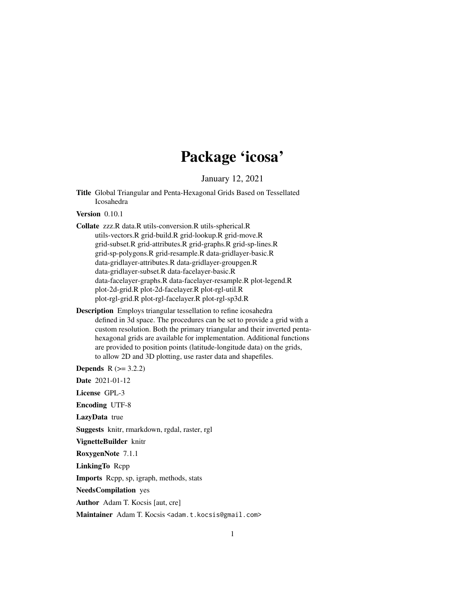# Package 'icosa'

January 12, 2021

<span id="page-0-0"></span>Title Global Triangular and Penta-Hexagonal Grids Based on Tessellated Icosahedra

Version 0.10.1

- Collate zzz.R data.R utils-conversion.R utils-spherical.R utils-vectors.R grid-build.R grid-lookup.R grid-move.R grid-subset.R grid-attributes.R grid-graphs.R grid-sp-lines.R grid-sp-polygons.R grid-resample.R data-gridlayer-basic.R data-gridlayer-attributes.R data-gridlayer-groupgen.R data-gridlayer-subset.R data-facelayer-basic.R data-facelayer-graphs.R data-facelayer-resample.R plot-legend.R plot-2d-grid.R plot-2d-facelayer.R plot-rgl-util.R plot-rgl-grid.R plot-rgl-facelayer.R plot-rgl-sp3d.R
- Description Employs triangular tessellation to refine icosahedra defined in 3d space. The procedures can be set to provide a grid with a custom resolution. Both the primary triangular and their inverted pentahexagonal grids are available for implementation. Additional functions are provided to position points (latitude-longitude data) on the grids, to allow 2D and 3D plotting, use raster data and shapefiles.

**Depends**  $R (= 3.2.2)$ 

Date 2021-01-12

License GPL-3

Encoding UTF-8

LazyData true

Suggests knitr, rmarkdown, rgdal, raster, rgl

VignetteBuilder knitr

RoxygenNote 7.1.1

LinkingTo Rcpp

Imports Rcpp, sp, igraph, methods, stats

NeedsCompilation yes

Author Adam T. Kocsis [aut, cre]

Maintainer Adam T. Kocsis <adam.t.kocsis@gmail.com>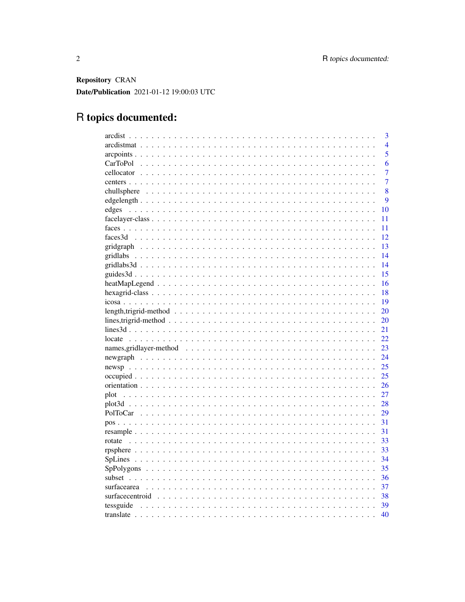Repository CRAN Date/Publication 2021-01-12 19:00:03 UTC

# R topics documented:

|                                                                                                              | 3              |
|--------------------------------------------------------------------------------------------------------------|----------------|
|                                                                                                              | $\overline{4}$ |
|                                                                                                              | $\overline{5}$ |
|                                                                                                              | 6              |
|                                                                                                              | 7              |
|                                                                                                              | 7              |
|                                                                                                              | 8              |
|                                                                                                              | 9              |
| edges                                                                                                        | 10             |
|                                                                                                              | 11             |
|                                                                                                              | 11             |
|                                                                                                              | 12             |
|                                                                                                              | 13             |
|                                                                                                              | 14             |
|                                                                                                              | 14             |
|                                                                                                              | 15             |
|                                                                                                              | 16             |
|                                                                                                              | 18             |
|                                                                                                              | 19             |
| $length, trigrid-method \dots \dots \dots \dots \dots \dots \dots \dots \dots \dots \dots \dots \dots$       | 20             |
|                                                                                                              | 20             |
|                                                                                                              | 21             |
| locate                                                                                                       | 22             |
|                                                                                                              | 23             |
|                                                                                                              | 24             |
|                                                                                                              | 25             |
|                                                                                                              | 25             |
|                                                                                                              | 26             |
| plot                                                                                                         | 27             |
|                                                                                                              | 28             |
|                                                                                                              | 29             |
|                                                                                                              | 31             |
|                                                                                                              | 31             |
| rotate                                                                                                       | 33             |
|                                                                                                              | 33             |
|                                                                                                              | 34             |
|                                                                                                              | 35             |
|                                                                                                              | 36             |
| surfacearea                                                                                                  | 37             |
| surfacecentroid $\ldots \ldots \ldots \ldots \ldots \ldots \ldots \ldots \ldots \ldots \ldots \ldots \ldots$ | 38             |
|                                                                                                              | 39             |
|                                                                                                              | 40             |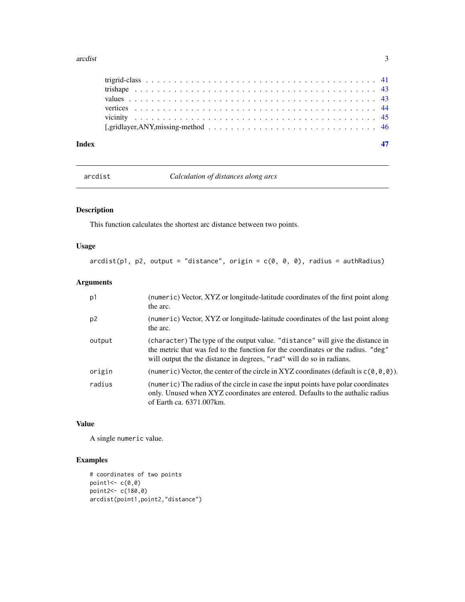#### <span id="page-2-0"></span>arcdist 3

arcdist *Calculation of distances along arcs*

## Description

This function calculates the shortest arc distance between two points.

## Usage

 $arcdist(p1, p2, output = "distance", origin = c(0, 0, 0), radius = author.$ 

## Arguments

| p1             | (numeric) Vector, XYZ or longitude-latitude coordinates of the first point along<br>the arc.                                                                                                                                                |
|----------------|---------------------------------------------------------------------------------------------------------------------------------------------------------------------------------------------------------------------------------------------|
| p <sub>2</sub> | (numeric) Vector, XYZ or longitude-latitude coordinates of the last point along<br>the arc.                                                                                                                                                 |
| output         | (character) The type of the output value. "distance" will give the distance in<br>the metric that was fed to the function for the coordinates or the radius. "deg"<br>will output the the distance in degrees, "rad" will do so in radians. |
| origin         | (numeric) Vector, the center of the circle in XYZ coordinates (default is $c(\theta, \theta, \theta)$ ).                                                                                                                                    |
| radius         | (numeric) The radius of the circle in case the input points have polar coordinates<br>only. Unused when XYZ coordinates are entered. Defaults to the authalic radius<br>of Earth ca. 6371.007 km.                                           |

## Value

A single numeric value.

## Examples

```
# coordinates of two points
point1<-c(0,0)point2<- c(180,0)
arcdist(point1,point2,"distance")
```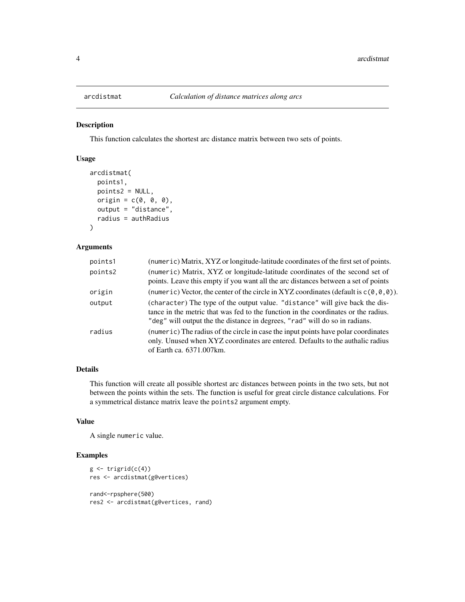<span id="page-3-0"></span>

This function calculates the shortest arc distance matrix between two sets of points.

## Usage

```
arcdistmat(
  points1,
  points2 = NULL,
  origin = c(\emptyset, \emptyset, \emptyset),
  output = "distance",
  radius = authRadius
\mathcal{L}
```
## Arguments

| points1 | (numeric) Matrix, XYZ or longitude-latitude coordinates of the first set of points.                                                                                                                                                               |
|---------|---------------------------------------------------------------------------------------------------------------------------------------------------------------------------------------------------------------------------------------------------|
| points2 | (numeric) Matrix, XYZ or longitude-latitude coordinates of the second set of<br>points. Leave this empty if you want all the arc distances between a set of points                                                                                |
| origin  | (numeric) Vector, the center of the circle in XYZ coordinates (default is $c(\theta, \theta, \theta)$ ).                                                                                                                                          |
| output  | (character) The type of the output value. "distance" will give back the dis-<br>tance in the metric that was fed to the function in the coordinates or the radius.<br>"deg" will output the the distance in degrees, "rad" will do so in radians. |
| radius  | (numeric) The radius of the circle in case the input points have polar coordinates<br>only. Unused when XYZ coordinates are entered. Defaults to the authalic radius<br>of Earth ca. 6371.007 km.                                                 |

#### Details

This function will create all possible shortest arc distances between points in the two sets, but not between the points within the sets. The function is useful for great circle distance calculations. For a symmetrical distance matrix leave the points2 argument empty.

## Value

A single numeric value.

## Examples

```
g \leftarrow \text{triprid}(c(4))res <- arcdistmat(g@vertices)
rand<-rpsphere(500)
res2 <- arcdistmat(g@vertices, rand)
```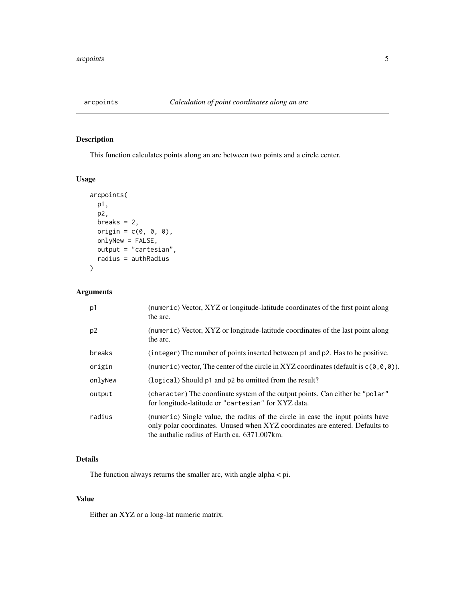<span id="page-4-0"></span>

This function calculates points along an arc between two points and a circle center.

## Usage

```
arcpoints(
  p1,
  p2,
  breaks = 2,
  origin = c(\emptyset, \emptyset, \emptyset),
  onlyNew = FALSE,
  output = "cartesian",
  radius = authRadius
)
```
## Arguments

| p1             | (numeric) Vector, XYZ or longitude-latitude coordinates of the first point along<br>the arc.                                                                                                                   |
|----------------|----------------------------------------------------------------------------------------------------------------------------------------------------------------------------------------------------------------|
| p <sub>2</sub> | (numeric) Vector, XYZ or longitude-latitude coordinates of the last point along<br>the arc.                                                                                                                    |
| breaks         | (integer) The number of points inserted between p1 and p2. Has to be positive.                                                                                                                                 |
| origin         | (numeric) vector, The center of the circle in XYZ coordinates (default is $c(\theta, \theta, \theta)$ ).                                                                                                       |
| onlyNew        | (logical) Should p1 and p2 be omitted from the result?                                                                                                                                                         |
| output         | (character) The coordinate system of the output points. Can either be "polar"<br>for longitude-latitude or "cartesian" for XYZ data.                                                                           |
| radius         | (numeric) Single value, the radius of the circle in case the input points have<br>only polar coordinates. Unused when XYZ coordinates are entered. Defaults to<br>the authalic radius of Earth ca. 6371.007km. |

## Details

The function always returns the smaller arc, with angle alpha < pi.

#### Value

Either an XYZ or a long-lat numeric matrix.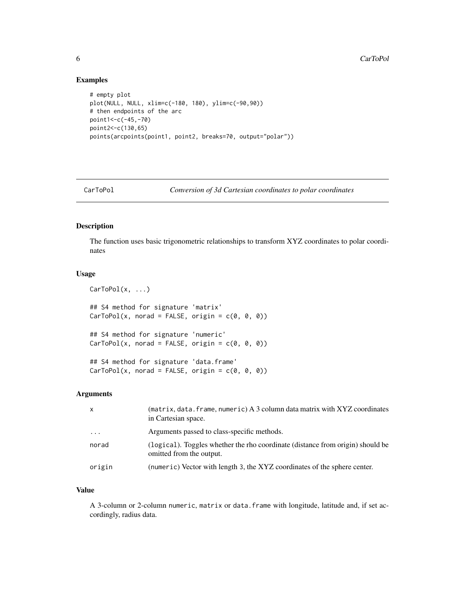#### Examples

```
# empty plot
plot(NULL, NULL, xlim=c(-180, 180), ylim=c(-90,90))
# then endpoints of the arc
point1<-c(-45,-70)
point2<-c(130,65)
points(arcpoints(point1, point2, breaks=70, output="polar"))
```
CarToPol *Conversion of 3d Cartesian coordinates to polar coordinates*

## Description

The function uses basic trigonometric relationships to transform XYZ coordinates to polar coordinates

### Usage

 $CarToPol(x, \ldots)$ 

## S4 method for signature 'matrix'  $CarToPol(x, nord = FALSE, origin = c(0, 0, 0))$ 

## S4 method for signature 'numeric'  $CarToPol(x, nord = FALSE, origin = c(0, 0, 0))$ 

## S4 method for signature 'data.frame'  $CarToPol(x, nord = FALSE, origin = c(0, 0, 0))$ 

#### Arguments

| $\mathsf{x}$ | (matrix, data. frame, numeric) A 3 column data matrix with XYZ coordinates<br>in Cartesian space.          |
|--------------|------------------------------------------------------------------------------------------------------------|
| .            | Arguments passed to class-specific methods.                                                                |
| norad        | (logical). Toggles whether the rho coordinate (distance from origin) should be<br>omitted from the output. |
| origin       | (numeric) Vector with length 3, the XYZ coordinates of the sphere center.                                  |

## Value

A 3-column or 2-column numeric, matrix or data.frame with longitude, latitude and, if set accordingly, radius data.

<span id="page-5-0"></span>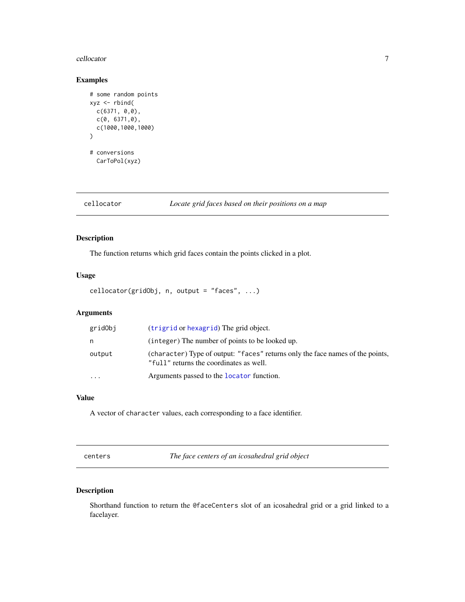#### <span id="page-6-0"></span>cellocator 7

## Examples

```
# some random points
xyz <- rbind(
  c(6371, 0,0),
  c(0, 6371,0),
  c(1000,1000,1000)
\lambda# conversions
  CarToPol(xyz)
```
cellocator *Locate grid faces based on their positions on a map*

## Description

The function returns which grid faces contain the points clicked in a plot.

## Usage

cellocator(gridObj, n, output = "faces", ...)

## Arguments

| gridObj                 | (trigrid or hexagrid) The grid object.                                                                                    |
|-------------------------|---------------------------------------------------------------------------------------------------------------------------|
| n                       | (integer) The number of points to be looked up.                                                                           |
| output                  | (character) Type of output: "faces" returns only the face names of the points,<br>"full" returns the coordinates as well. |
| $\cdot$ $\cdot$ $\cdot$ | Arguments passed to the locator function.                                                                                 |

## Value

A vector of character values, each corresponding to a face identifier.

centers *The face centers of an icosahedral grid object*

## Description

Shorthand function to return the @faceCenters slot of an icosahedral grid or a grid linked to a facelayer.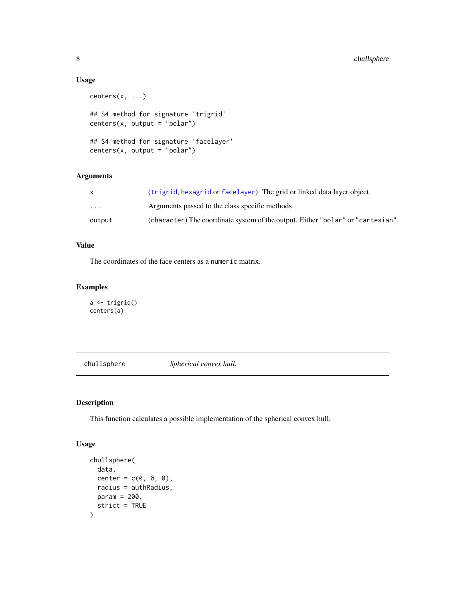#### Usage

```
centers(x, ...)
## S4 method for signature 'trigrid'
centers(x, output = "polar")## S4 method for signature 'facelayer'
centers(x, output = "polar")
```
## Arguments

| X        | (trigrid, hexagrid or facelayer). The grid or linked data layer object.         |
|----------|---------------------------------------------------------------------------------|
| $\cdots$ | Arguments passed to the class specific methods.                                 |
| output   | (character) The coordinate system of the output. Either "polar" or "cartesian". |

## Value

The coordinates of the face centers as a numeric matrix.

## Examples

```
a <- trigrid()
centers(a)
```
chullsphere *Spherical convex hull.*

## Description

This function calculates a possible implementation of the spherical convex hull.

#### Usage

```
chullsphere(
  data,
  center = c(\emptyset, \emptyset, \emptyset),
  radius = authRadius,
  param = 200,
  strict = TRUE
\mathcal{L}
```
<span id="page-7-0"></span>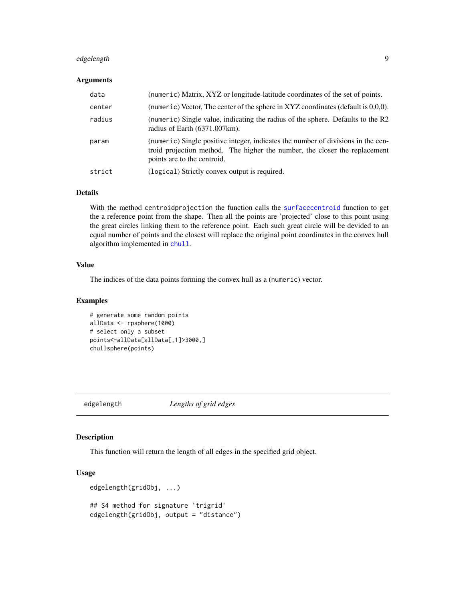## <span id="page-8-0"></span>edgelength 9

#### Arguments

| data   | (numeric) Matrix, XYZ or longitude-latitude coordinates of the set of points.                                                                                                                 |
|--------|-----------------------------------------------------------------------------------------------------------------------------------------------------------------------------------------------|
| center | (numeric) Vector, The center of the sphere in $XYZ$ coordinates (default is $0,0,0$ ).                                                                                                        |
| radius | (numeric) Single value, indicating the radius of the sphere. Defaults to the R2<br>radius of Earth $(6371.007 \text{km})$ .                                                                   |
| param  | (numeric) Single positive integer, indicates the number of divisions in the cen-<br>troid projection method. The higher the number, the closer the replacement<br>points are to the centroid. |
| strict | (logical) Strictly convex output is required.                                                                                                                                                 |

## Details

With the method centroidprojection the function calls the [surfacecentroid](#page-37-1) function to get the a reference point from the shape. Then all the points are 'projected' close to this point using the great circles linking them to the reference point. Each such great circle will be devided to an equal number of points and the closest will replace the original point coordinates in the convex hull algorithm implemented in [chull](#page-0-0).

## Value

The indices of the data points forming the convex hull as a (numeric) vector.

#### Examples

```
# generate some random points
allData <- rpsphere(1000)
# select only a subset
points<-allData[allData[,1]>3000,]
chullsphere(points)
```
edgelength *Lengths of grid edges*

#### Description

This function will return the length of all edges in the specified grid object.

#### Usage

```
edgelength(gridObj, ...)
## S4 method for signature 'trigrid'
edgelength(gridObj, output = "distance")
```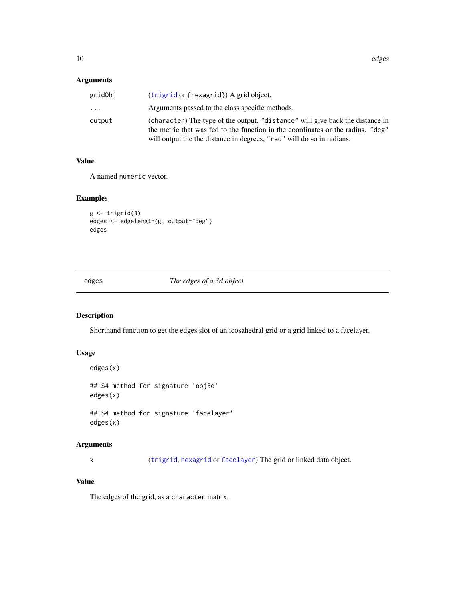## <span id="page-9-0"></span>Arguments

| gridObj | $(trigrid or \{hexagrid\})$ A grid object.                                                                                                                                                                                                |
|---------|-------------------------------------------------------------------------------------------------------------------------------------------------------------------------------------------------------------------------------------------|
| .       | Arguments passed to the class specific methods.                                                                                                                                                                                           |
| output  | (character) The type of the output. "distance" will give back the distance in<br>the metric that was fed to the function in the coordinates or the radius. "deg"<br>will output the the distance in degrees, "rad" will do so in radians. |

## Value

A named numeric vector.

## Examples

```
g <- trigrid(3)
edges <- edgelength(g, output="deg")
edges
```
edges *The edges of a 3d object*

## Description

Shorthand function to get the edges slot of an icosahedral grid or a grid linked to a facelayer.

#### Usage

```
edges(x)
## S4 method for signature 'obj3d'
edges(x)
## S4 method for signature 'facelayer'
```
edges(x)

## Arguments

x ([trigrid](#page-40-1), [hexagrid](#page-17-1) or [facelayer](#page-10-1)) The grid or linked data object.

## Value

The edges of the grid, as a character matrix.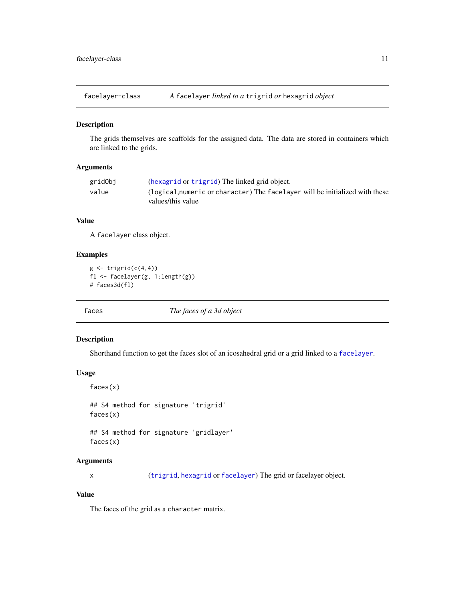<span id="page-10-0"></span>facelayer-class *A* facelayer *linked to a* trigrid *or* hexagrid *object*

#### <span id="page-10-1"></span>Description

The grids themselves are scaffolds for the assigned data. The data are stored in containers which are linked to the grids.

## Arguments

| gridObj | (hexagrid or trigrid) The linked grid object.                                |
|---------|------------------------------------------------------------------------------|
| value   | (logical, numeric or character) The facelayer will be initialized with these |
|         | values/this value                                                            |

#### Value

A facelayer class object.

### Examples

```
g \leftarrow \text{triprid}(c(4,4))fl <- facelayer(g, 1:length(g))
# faces3d(fl)
```
faces *The faces of a 3d object*

#### Description

Shorthand function to get the faces slot of an icosahedral grid or a grid linked to a [facelayer](#page-10-1).

## Usage

```
faces(x)
```
## S4 method for signature 'trigrid' faces(x)

## S4 method for signature 'gridlayer' faces(x)

#### Arguments

x ([trigrid](#page-40-1), [hexagrid](#page-17-1) or [facelayer](#page-10-1)) The grid or facelayer object.

## Value

The faces of the grid as a character matrix.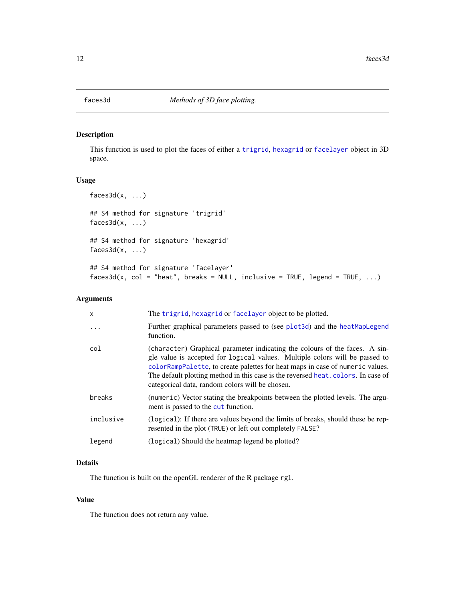<span id="page-11-1"></span><span id="page-11-0"></span>

This function is used to plot the faces of either a [trigrid](#page-40-1), [hexagrid](#page-17-1) or [facelayer](#page-10-1) object in 3D space.

## Usage

```
faces3d(x, ...)## S4 method for signature 'trigrid'
faces3d(x, ...)## S4 method for signature 'hexagrid'
faces3d(x, ...)## S4 method for signature 'facelayer'
faces3d(x, col = "heat", breaks = NULL, inclusive = TRUE, legend = TRUE, ...)
```
#### Arguments

| $\mathsf{x}$ | The trigrid, hexagrid or facelayer object to be plotted.                                                                                                                                                                                                                                                                                                                            |
|--------------|-------------------------------------------------------------------------------------------------------------------------------------------------------------------------------------------------------------------------------------------------------------------------------------------------------------------------------------------------------------------------------------|
| .            | Further graphical parameters passed to (see plot3d) and the heatMapLegend<br>function.                                                                                                                                                                                                                                                                                              |
| col          | (character) Graphical parameter indicating the colours of the faces. A sin-<br>gle value is accepted for logical values. Multiple colors will be passed to<br>colorRampPalette, to create palettes for heat maps in case of numeric values.<br>The default plotting method in this case is the reversed heat, colors. In case of<br>categorical data, random colors will be chosen. |
| breaks       | (numeric) Vector stating the breakpoints between the plotted levels. The argu-<br>ment is passed to the cut function.                                                                                                                                                                                                                                                               |
| inclusive    | (logical): If there are values beyond the limits of breaks, should these be rep-<br>resented in the plot (TRUE) or left out completely FALSE?                                                                                                                                                                                                                                       |
| legend       | (logical) Should the heatmap legend be plotted?                                                                                                                                                                                                                                                                                                                                     |
|              |                                                                                                                                                                                                                                                                                                                                                                                     |

## Details

The function is built on the openGL renderer of the R package rgl.

#### Value

The function does not return any value.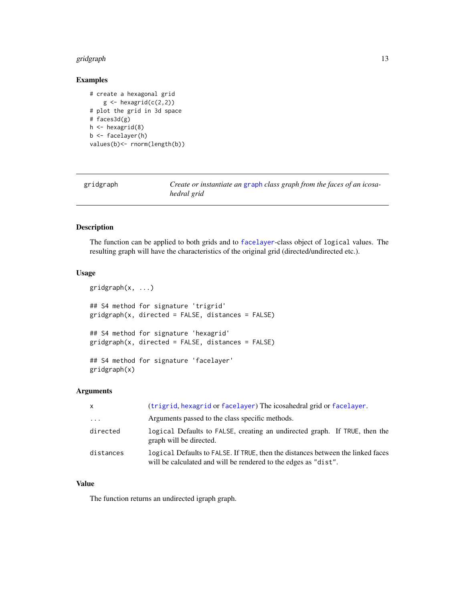#### <span id="page-12-0"></span>gridgraph the control of the control of the control of the control of the control of the control of the control of the control of the control of the control of the control of the control of the control of the control of th

## Examples

```
# create a hexagonal grid
    g \leftarrow hexagrid(c(2,2))
# plot the grid in 3d space
# faces3d(g)
h \leftarrow hexagrid(8)
b <- facelayer(h)
values(b)<- rnorm(length(b))
```
<span id="page-12-1"></span>gridgraph *Create or instantiate an* [graph](#page-0-0) *class graph from the faces of an icosahedral grid*

### Description

The function can be applied to both grids and to [facelayer](#page-10-1)-class object of logical values. The resulting graph will have the characteristics of the original grid (directed/undirected etc.).

#### Usage

```
gridgraph(x, ...)
## S4 method for signature 'trigrid'
gridgraph(x, directed = FALSE, distances = FALSE)
## S4 method for signature 'hexagrid'
gridgraph(x, directed = FALSE, distances = FALSE)
## S4 method for signature 'facelayer'
gridgraph(x)
```
#### Arguments

| $\mathsf{x}$ | (trigrid, hexagrid or facelayer) The icosahedral grid or facelayer.                                                                                |
|--------------|----------------------------------------------------------------------------------------------------------------------------------------------------|
| $\cdots$     | Arguments passed to the class specific methods.                                                                                                    |
| directed     | logical Defaults to FALSE, creating an undirected graph. If TRUE, then the<br>graph will be directed.                                              |
| distances    | logical Defaults to FALSE. If TRUE, then the distances between the linked faces<br>will be calculated and will be rendered to the edges as "dist". |

#### Value

The function returns an undirected igraph graph.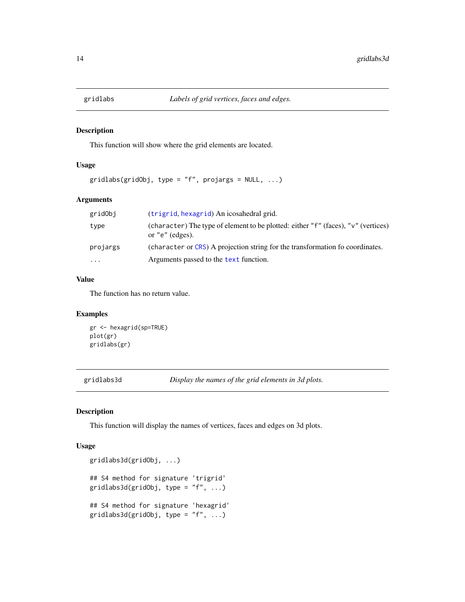<span id="page-13-0"></span>

This function will show where the grid elements are located.

### Usage

```
gridlabs(gridObj, type = "f", projargs = NULL, ...)
```
## Arguments

| gridObj  | (trigrid, hexagrid) An icosahedral grid.                                                                 |
|----------|----------------------------------------------------------------------------------------------------------|
| type     | (character) The type of element to be plotted: either "f" (faces), "y" (vertices)<br>or " $e$ " (edges). |
| projargs | (character or CRS) A projection string for the transformation fo coordinates.                            |
| $\cdots$ | Arguments passed to the text function.                                                                   |
|          |                                                                                                          |

## Value

The function has no return value.

## Examples

```
gr <- hexagrid(sp=TRUE)
plot(gr)
gridlabs(gr)
```
gridlabs3d *Display the names of the grid elements in 3d plots.*

#### Description

This function will display the names of vertices, faces and edges on 3d plots.

#### Usage

```
gridlabs3d(gridObj, ...)
## S4 method for signature 'trigrid'
gridlabs3d(gridObj, type = "f", ...)## S4 method for signature 'hexagrid'
gridlabs3d(gridObj, type = "f", ...)
```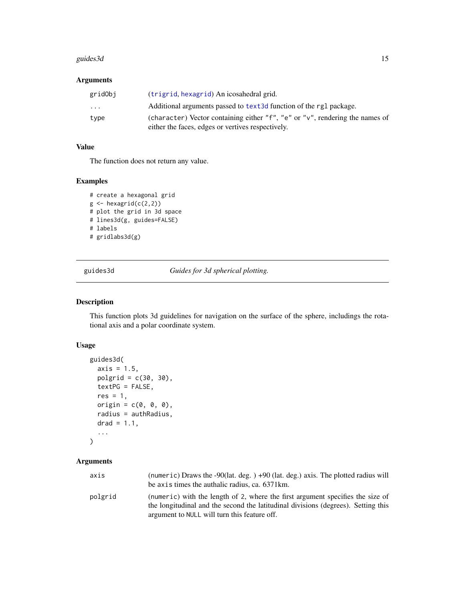#### <span id="page-14-0"></span>guides3d 15

## Arguments

| gridObj  | (trigrid, hexagrid) An icosahedral grid.                                                                                          |
|----------|-----------------------------------------------------------------------------------------------------------------------------------|
| $\cdots$ | Additional arguments passed to text3d function of the rg1 package.                                                                |
| type     | (character) Vector containing either "f", "e" or "y", rendering the names of<br>either the faces, edges or vertives respectively. |

## Value

The function does not return any value.

#### Examples

```
# create a hexagonal grid
g \leftarrow hexagrid(c(2,2))
# plot the grid in 3d space
# lines3d(g, guides=FALSE)
# labels
# gridlabs3d(g)
```
guides3d *Guides for 3d spherical plotting.*

## Description

This function plots 3d guidelines for navigation on the surface of the sphere, includings the rotational axis and a polar coordinate system.

#### Usage

```
guides3d(
  axis = 1.5,
  polgrid = c(30, 30),
  textPG = FALSE,res = 1,origin = c(\emptyset, \emptyset, \emptyset),
  radius = authRadius,
  drad = 1.1,
  ...
)
```

| axis    | (numeric) Draws the -90(lat. deg. $) +90$ (lat. deg.) axis. The plotted radius will                                                                                 |
|---------|---------------------------------------------------------------------------------------------------------------------------------------------------------------------|
|         | be axis times the authalic radius, ca. 6371 km.                                                                                                                     |
| polgrid | (numeric) with the length of 2, where the first argument specifies the size of<br>the longitudinal and the second the latitudinal divisions (degrees). Setting this |
|         | argument to NULL will turn this feature off.                                                                                                                        |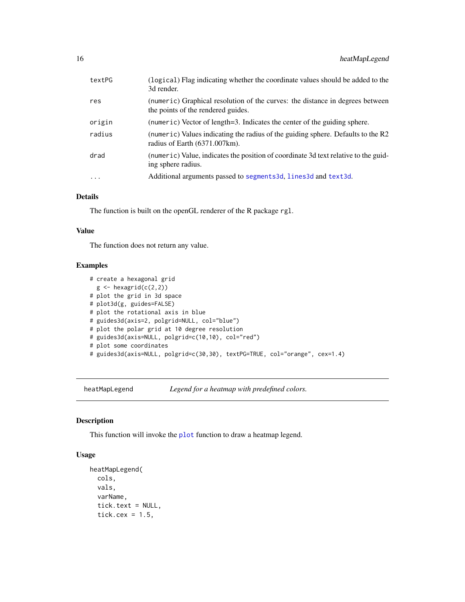<span id="page-15-0"></span>

| textPG | (logical) Flag indicating whether the coordinate values should be added to the<br>3d render.                        |
|--------|---------------------------------------------------------------------------------------------------------------------|
| res    | (numeric) Graphical resolution of the curves: the distance in degrees between<br>the points of the rendered guides. |
| origin | (numeric) Vector of length=3. Indicates the center of the guiding sphere.                                           |
| radius | (numeric) Values indicating the radius of the guiding sphere. Defaults to the R2<br>radius of Earth (6371.007km).   |
| drad   | (numeric) Value, indicates the position of coordinate 3d text relative to the guid-<br>ing sphere radius.           |
| .      | Additional arguments passed to segments3d, lines3d and text3d.                                                      |
|        |                                                                                                                     |

## Details

The function is built on the openGL renderer of the R package rgl.

#### Value

The function does not return any value.

## Examples

```
# create a hexagonal grid
 g \leftarrow hexagrid(c(2,2))
# plot the grid in 3d space
# plot3d(g, guides=FALSE)
# plot the rotational axis in blue
# guides3d(axis=2, polgrid=NULL, col="blue")
# plot the polar grid at 10 degree resolution
# guides3d(axis=NULL, polgrid=c(10,10), col="red")
# plot some coordinates
# guides3d(axis=NULL, polgrid=c(30,30), textPG=TRUE, col="orange", cex=1.4)
```
<span id="page-15-1"></span>heatMapLegend *Legend for a heatmap with predefined colors.*

## Description

This function will invoke the [plot](#page-26-1) function to draw a heatmap legend.

## Usage

```
heatMapLegend(
  cols,
  vals,
  varName,
  tick.text = NULL,
  tick.cex = 1.5,
```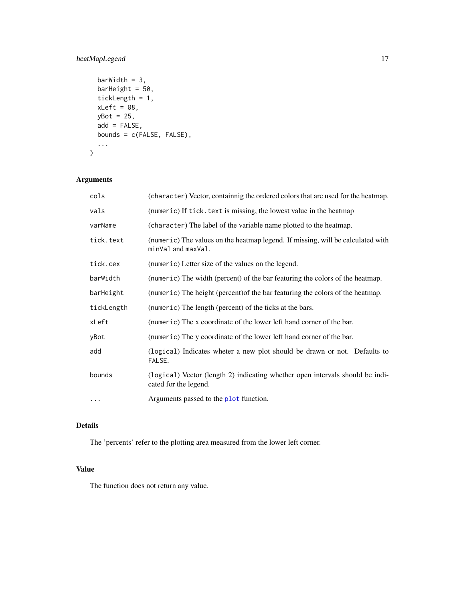## <span id="page-16-0"></span>heatMapLegend 17

```
barWidth = 3,
barHeight = 50,
tickLength = 1,
xLeft = 88,yBot = 25,
add = FALSE,
bounds = c(FALSE, FALSE),
...
```
## Arguments

)

| cols       | (character) Vector, containnig the ordered colors that are used for the heatmap.                       |
|------------|--------------------------------------------------------------------------------------------------------|
| vals       | (numeric) If tick. text is missing, the lowest value in the heatmap                                    |
| varName    | (character) The label of the variable name plotted to the heatmap.                                     |
| tick.text  | (numeric) The values on the heatmap legend. If missing, will be calculated with<br>minVal and maxVal.  |
| tick.cex   | (numeric) Letter size of the values on the legend.                                                     |
| barWidth   | (numeric) The width (percent) of the bar featuring the colors of the heatmap.                          |
| barHeight  | (numeric) The height (percent) of the bar featuring the colors of the heatmap.                         |
| tickLength | (numeric) The length (percent) of the ticks at the bars.                                               |
| xLeft      | (numeric) The x coordinate of the lower left hand corner of the bar.                                   |
| yBot       | (numeric) The y coordinate of the lower left hand corner of the bar.                                   |
| add        | (logical) Indicates wheter a new plot should be drawn or not. Defaults to<br>FALSE.                    |
| bounds     | (logical) Vector (length 2) indicating whether open intervals should be indi-<br>cated for the legend. |
| $\cdot$    | Arguments passed to the plot function.                                                                 |

#### Details

The 'percents' refer to the plotting area measured from the lower left corner.

## Value

The function does not return any value.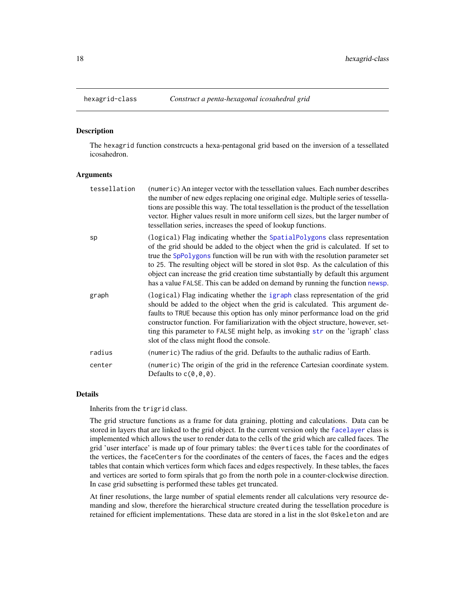<span id="page-17-1"></span><span id="page-17-0"></span>

The hexagrid function constrcucts a hexa-pentagonal grid based on the inversion of a tessellated icosahedron.

## Arguments

| tessellation | (numeric) An integer vector with the tessellation values. Each number describes<br>the number of new edges replacing one original edge. Multiple series of tessella-<br>tions are possible this way. The total tessellation is the product of the tessellation<br>vector. Higher values result in more uniform cell sizes, but the larger number of<br>tessellation series, increases the speed of lookup functions.                                                                                          |
|--------------|---------------------------------------------------------------------------------------------------------------------------------------------------------------------------------------------------------------------------------------------------------------------------------------------------------------------------------------------------------------------------------------------------------------------------------------------------------------------------------------------------------------|
| sp           | (logical) Flag indicating whether the SpatialPolygons class representation<br>of the grid should be added to the object when the grid is calculated. If set to<br>true the SpPolygons function will be run with with the resolution parameter set<br>to 25. The resulting object will be stored in slot @sp. As the calculation of this<br>object can increase the grid creation time substantially by default this argument<br>has a value FALSE. This can be added on demand by running the function newsp. |
| graph        | (logical) Flag indicating whether the igraph class representation of the grid<br>should be added to the object when the grid is calculated. This argument de-<br>faults to TRUE because this option has only minor performance load on the grid<br>constructor function. For familiarization with the object structure, however, set-<br>ting this parameter to FALSE might help, as invoking str on the 'igraph' class<br>slot of the class might flood the console.                                         |
| radius       | (numeric) The radius of the grid. Defaults to the authalic radius of Earth.                                                                                                                                                                                                                                                                                                                                                                                                                                   |
| center       | (numeric) The origin of the grid in the reference Cartesian coordinate system.<br>Defaults to $c(\theta, \theta, \theta)$ .                                                                                                                                                                                                                                                                                                                                                                                   |

#### Details

Inherits from the trigrid class.

The grid structure functions as a frame for data graining, plotting and calculations. Data can be stored in layers that are linked to the grid object. In the current version only the [facelayer](#page-10-1) class is implemented which allows the user to render data to the cells of the grid which are called faces. The grid 'user interface' is made up of four primary tables: the @vertices table for the coordinates of the vertices, the faceCenters for the coordinates of the centers of faces, the faces and the edges tables that contain which vertices form which faces and edges respectively. In these tables, the faces and vertices are sorted to form spirals that go from the north pole in a counter-clockwise direction. In case grid subsetting is performed these tables get truncated.

At finer resolutions, the large number of spatial elements render all calculations very resource demanding and slow, therefore the hierarchical structure created during the tessellation procedure is retained for efficient implementations. These data are stored in a list in the slot @skeleton and are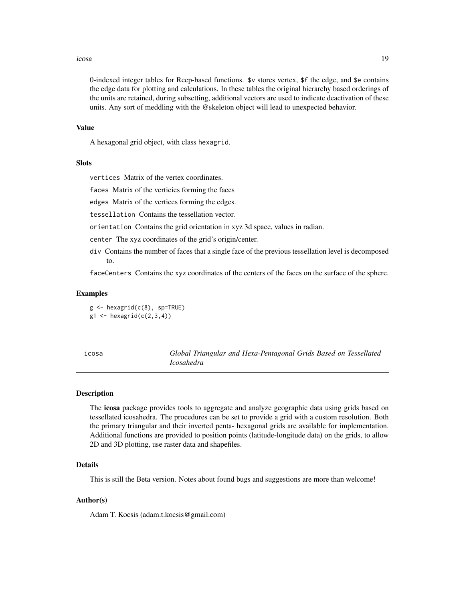#### <span id="page-18-0"></span>icosa 19

0-indexed integer tables for Rccp-based functions. \$v stores vertex, \$f the edge, and \$e contains the edge data for plotting and calculations. In these tables the original hierarchy based orderings of the units are retained, during subsetting, additional vectors are used to indicate deactivation of these units. Any sort of meddling with the @skeleton object will lead to unexpected behavior.

#### Value

A hexagonal grid object, with class hexagrid.

#### Slots

vertices Matrix of the vertex coordinates.

faces Matrix of the verticies forming the faces

edges Matrix of the vertices forming the edges.

tessellation Contains the tessellation vector.

orientation Contains the grid orientation in xyz 3d space, values in radian.

center The xyz coordinates of the grid's origin/center.

div Contains the number of faces that a single face of the previous tessellation level is decomposed to.

faceCenters Contains the xyz coordinates of the centers of the faces on the surface of the sphere.

#### Examples

 $g \leftarrow$  hexagrid( $c(8)$ , sp=TRUE)  $g1 \leftarrow$  hexagrid( $c(2,3,4)$ )

<span id="page-18-1"></span>

Global Triangular and Hexa-Pentagonal Grids Based on Tessellated *Icosahedra*

#### Description

The icosa package provides tools to aggregate and analyze geographic data using grids based on tessellated icosahedra. The procedures can be set to provide a grid with a custom resolution. Both the primary triangular and their inverted penta- hexagonal grids are available for implementation. Additional functions are provided to position points (latitude-longitude data) on the grids, to allow 2D and 3D plotting, use raster data and shapefiles.

#### Details

This is still the Beta version. Notes about found bugs and suggestions are more than welcome!

#### Author(s)

Adam T. Kocsis (adam.t.kocsis@gmail.com)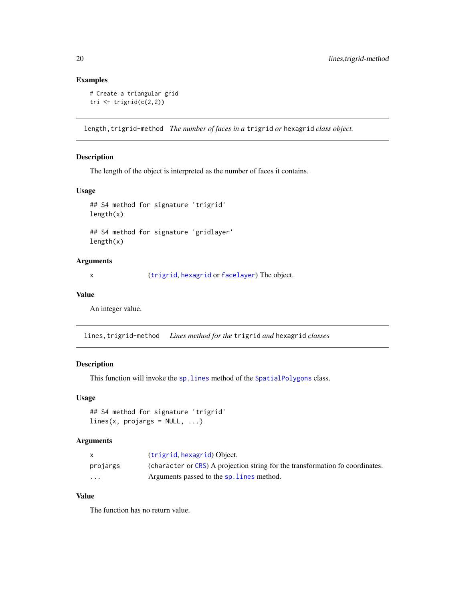## Examples

```
# Create a triangular grid
tri \leftarrow trigrid(c(2,2))
```
length,trigrid-method *The number of faces in a* trigrid *or* hexagrid *class object.*

## Description

The length of the object is interpreted as the number of faces it contains.

#### Usage

```
## S4 method for signature 'trigrid'
length(x)
```
## S4 method for signature 'gridlayer' length(x)

#### Arguments

x ([trigrid](#page-40-1), [hexagrid](#page-17-1) or [facelayer](#page-10-1)) The object.

## Value

An integer value.

lines,trigrid-method *Lines method for the* trigrid *and* hexagrid *classes*

## Description

This function will invoke the [sp.lines](#page-0-0) method of the [SpatialPolygons](#page-0-0) class.

## Usage

```
## S4 method for signature 'trigrid'
lines(x, projargs = NULL, ...)
```
## Arguments

|                         | (trigrid, hexagrid) Object.                                                   |
|-------------------------|-------------------------------------------------------------------------------|
| projargs                | (character or CRS) A projection string for the transformation fo coordinates. |
| $\cdot$ $\cdot$ $\cdot$ | Arguments passed to the sp. lines method.                                     |

## Value

The function has no return value.

<span id="page-19-0"></span>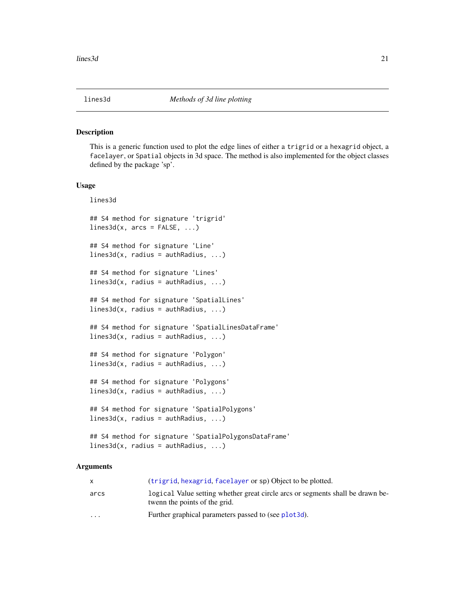<span id="page-20-1"></span><span id="page-20-0"></span>This is a generic function used to plot the edge lines of either a trigrid or a hexagrid object, a facelayer, or Spatial objects in 3d space. The method is also implemented for the object classes defined by the package 'sp'.

#### Usage

lines3d

```
## S4 method for signature 'trigrid'
lines3d(x, arcs = FALSE, ...)## S4 method for signature 'Line'
lines3d(x, radius = author, ...)## S4 method for signature 'Lines'
lines3d(x, radius = author, ...)## S4 method for signature 'SpatialLines'
lines3d(x, radius = author, ...)## S4 method for signature 'SpatialLinesDataFrame'
lines3d(x, radius = author, ...)## S4 method for signature 'Polygon'
lines3d(x, radius = author, ...)## S4 method for signature 'Polygons'
lines3d(x, radius = author, ...)## S4 method for signature 'SpatialPolygons'
lines3d(x, radius = author, ...)## S4 method for signature 'SpatialPolygonsDataFrame'
```

```
lines3d(x, radius = author, ...)
```

|                         | (trigrid, hexagrid, facelayer or sp) Object to be plotted.                                                      |
|-------------------------|-----------------------------------------------------------------------------------------------------------------|
| arcs                    | logical Value setting whether great circle arcs or segments shall be drawn be-<br>twenn the points of the grid. |
| $\cdot$ $\cdot$ $\cdot$ | Further graphical parameters passed to (see plot3d).                                                            |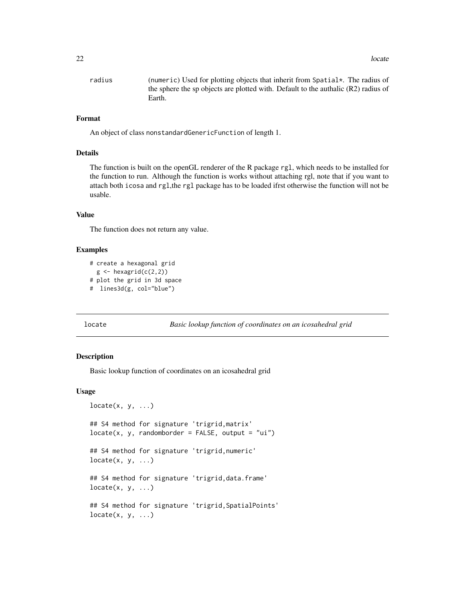<span id="page-21-0"></span>radius (numeric) Used for plotting objects that inherit from Spatial\*. The radius of the sphere the sp objects are plotted with. Default to the authalic (R2) radius of Earth.

#### Format

An object of class nonstandardGenericFunction of length 1.

#### Details

The function is built on the openGL renderer of the R package rgl, which needs to be installed for the function to run. Although the function is works without attaching rgl, note that if you want to attach both icosa and rgl,the rgl package has to be loaded ifrst otherwise the function will not be usable.

#### Value

The function does not return any value.

#### Examples

```
# create a hexagonal grid
  g \leftarrow hexagrid(c(2,2))
# plot the grid in 3d space
# lines3d(g, col="blue")
```
locate *Basic lookup function of coordinates on an icosahedral grid*

#### Description

Basic lookup function of coordinates on an icosahedral grid

#### Usage

```
locate(x, y, ...)## S4 method for signature 'trigrid,matrix'
locate(x, y, randomborder = FALSE, output = "ui")## S4 method for signature 'trigrid,numeric'
locate(x, y, ...)## S4 method for signature 'trigrid,data.frame'
locate(x, y, ...)## S4 method for signature 'trigrid,SpatialPoints'
locate(x, y, ...)
```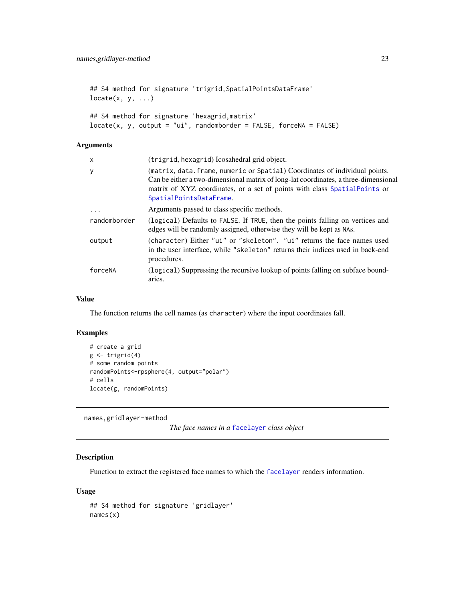<span id="page-22-0"></span>## S4 method for signature 'trigrid, SpatialPointsDataFrame'  $locate(x, y, ...)$ ## S4 method for signature 'hexagrid,matrix'  $locate(x, y, output = "ui", randomborder = FALSE, forceNA = FALSE)$ 

#### Arguments

| x            | (trigrid, hexagrid) Icosahedral grid object.                                                                                                                                                                                                                               |
|--------------|----------------------------------------------------------------------------------------------------------------------------------------------------------------------------------------------------------------------------------------------------------------------------|
| у            | (matrix, data. frame, numeric or Spatial) Coordinates of individual points.<br>Can be either a two-dimensional matrix of long-lat coordinates, a three-dimensional<br>matrix of XYZ coordinates, or a set of points with class SpatialPoints or<br>SpatialPointsDataFrame. |
| $\cdot$      | Arguments passed to class specific methods.                                                                                                                                                                                                                                |
| randomborder | (logical) Defaults to FALSE. If TRUE, then the points falling on vertices and<br>edges will be randomly assigned, otherwise they will be kept as NAs.                                                                                                                      |
| output       | (character) Either "ui" or "skeleton". "ui" returns the face names used<br>in the user interface, while "skeleton" returns their indices used in back-end<br>procedures.                                                                                                   |
| forceNA      | (logical) Suppressing the recursive lookup of points falling on subface bound-<br>aries.                                                                                                                                                                                   |

#### Value

The function returns the cell names (as character) where the input coordinates fall.

#### Examples

```
# create a grid
g \leftarrow \text{trigrid}(4)# some random points
randomPoints<-rpsphere(4, output="polar")
# cells
locate(g, randomPoints)
```
names,gridlayer-method

*The face names in a* [facelayer](#page-10-1) *class object*

### Description

Function to extract the registered face names to which the [facelayer](#page-10-1) renders information.

#### Usage

```
## S4 method for signature 'gridlayer'
names(x)
```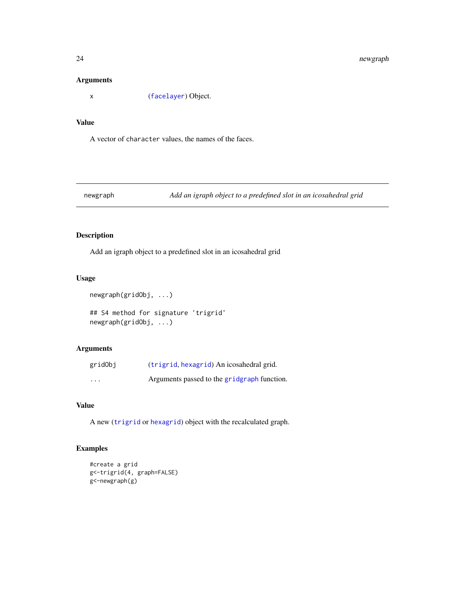#### Arguments

x ([facelayer](#page-10-1)) Object.

## Value

A vector of character values, the names of the faces.

newgraph *Add an igraph object to a predefined slot in an icosahedral grid*

## Description

Add an igraph object to a predefined slot in an icosahedral grid

## Usage

```
newgraph(gridObj, ...)
```
## S4 method for signature 'trigrid' newgraph(gridObj, ...)

## Arguments

| gridObj                 | (trigrid, hexagrid) An icosahedral grid.    |
|-------------------------|---------------------------------------------|
| $\cdot$ $\cdot$ $\cdot$ | Arguments passed to the gridgraph function. |

## Value

A new ([trigrid](#page-40-1) or [hexagrid](#page-17-1)) object with the recalculated graph.

## Examples

```
#create a grid
g<-trigrid(4, graph=FALSE)
g<-newgraph(g)
```
<span id="page-23-0"></span>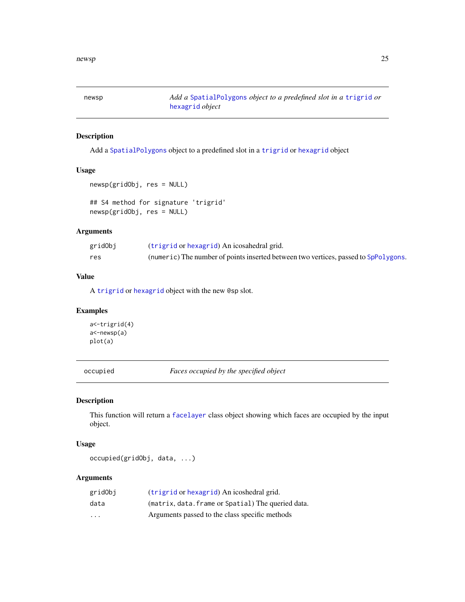<span id="page-24-1"></span><span id="page-24-0"></span>newsp *Add a* [SpatialPolygons](#page-0-0) *object to a predefined slot in a* [trigrid](#page-40-1) *or* [hexagrid](#page-17-1) *object*

## Description

Add a [SpatialPolygons](#page-0-0) object to a predefined slot in a [trigrid](#page-40-1) or [hexagrid](#page-17-1) object

#### Usage

```
newsp(gridObj, res = NULL)
## S4 method for signature 'trigrid'
```
newsp(gridObj, res = NULL)

## Arguments

| gridObj | (trigrid or hexagrid) An icosahedral grid.                                          |
|---------|-------------------------------------------------------------------------------------|
| res     | (numeric) The number of points inserted between two vertices, passed to SpPolygons. |

## Value

A [trigrid](#page-40-1) or [hexagrid](#page-17-1) object with the new @sp slot.

## Examples

a<-trigrid(4) a<-newsp(a) plot(a)

occupied *Faces occupied by the specified object*

## Description

This function will return a [facelayer](#page-10-1) class object showing which faces are occupied by the input object.

## Usage

occupied(gridObj, data, ...)

| gridObi  | (trigrid or hexagrid) An icoshedral grid.          |
|----------|----------------------------------------------------|
| data     | (matrix, data. frame or Spatial) The queried data. |
| $\cdots$ | Arguments passed to the class specific methods     |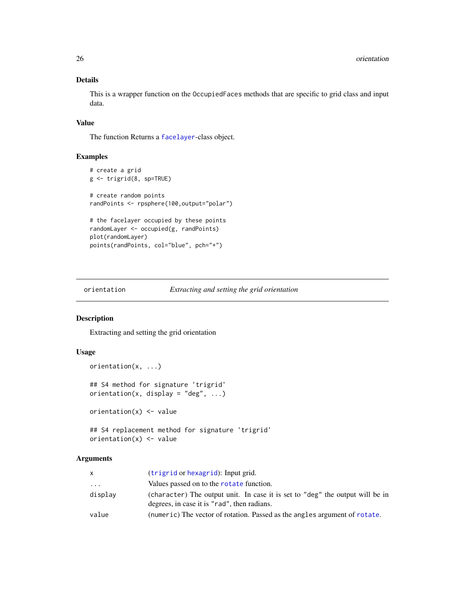## Details

This is a wrapper function on the OccupiedFaces methods that are specific to grid class and input data.

#### Value

The function Returns a [facelayer](#page-10-1)-class object.

#### Examples

```
# create a grid
g <- trigrid(8, sp=TRUE)
# create random points
randPoints <- rpsphere(100,output="polar")
# the facelayer occupied by these points
randomLayer <- occupied(g, randPoints)
plot(randomLayer)
points(randPoints, col="blue", pch="+")
```
orientation *Extracting and setting the grid orientation*

## Description

Extracting and setting the grid orientation

## Usage

```
orientation(x, ...)
## S4 method for signature 'trigrid'
orientation(x, display = "deg", \dots)
orientation(x) <- value
## S4 replacement method for signature 'trigrid'
orientation(x) <- value
```

| X        | (trigrid or hexagrid): Input grid.                                                                                           |
|----------|------------------------------------------------------------------------------------------------------------------------------|
| $\cdots$ | Values passed on to the rotate function.                                                                                     |
| display  | (character) The output unit. In case it is set to "deg" the output will be in<br>degrees, in case it is "rad", then radians. |
| value    | (numeric) The vector of rotation. Passed as the angles argument of rotate.                                                   |

<span id="page-25-0"></span>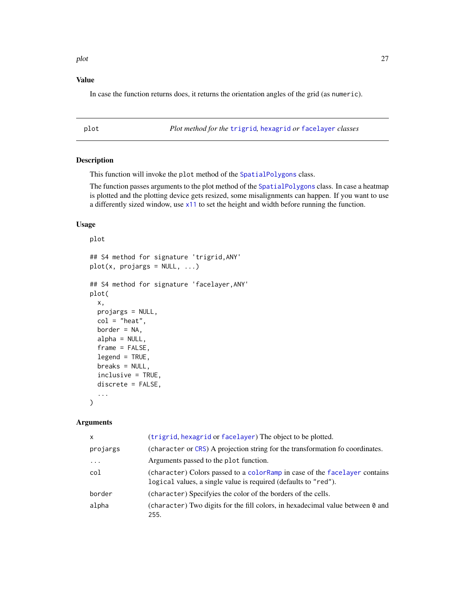<span id="page-26-0"></span>plot the contract of the contract of the contract of the contract of the contract of the contract of the contract of the contract of the contract of the contract of the contract of the contract of the contract of the contr

## Value

In case the function returns does, it returns the orientation angles of the grid (as numeric).

<span id="page-26-1"></span>plot *Plot method for the* [trigrid](#page-40-1)*,* [hexagrid](#page-17-1) *or* [facelayer](#page-10-1) *classes*

#### Description

This function will invoke the plot method of the [SpatialPolygons](#page-0-0) class.

The function passes arguments to the plot method of the [SpatialPolygons](#page-0-0) class. In case a heatmap is plotted and the plotting device gets resized, some misalignments can happen. If you want to use a differently sized window, use [x11](#page-0-0) to set the height and width before running the function.

#### Usage

```
plot
## S4 method for signature 'trigrid,ANY'
plot(x, projargs = NULL, ...)## S4 method for signature 'facelayer,ANY'
plot(
  x,
 projargs = NULL,
  col = "heat",border = NA,
  alpha = NULL,
  frame = FALSE,
  legend = TRUE,
  breaks = NULL,
  inclusive = TRUE,
  discrete = FALSE,
  ...
\mathcal{L}
```

| $\mathsf{x}$ | (trigrid, hexagrid or facelayer) The object to be plotted.                                                                                     |
|--------------|------------------------------------------------------------------------------------------------------------------------------------------------|
| projargs     | (character or CRS) A projection string for the transformation fo coordinates.                                                                  |
| $\cdots$     | Arguments passed to the plot function.                                                                                                         |
| col          | (character) Colors passed to a color Ramp in case of the facelayer contains<br>logical values, a single value is required (defaults to "red"). |
| border       | (character) Specifyies the color of the borders of the cells.                                                                                  |
| alpha        | (character) Two digits for the fill colors, in hexadecimal value between 0 and<br>255.                                                         |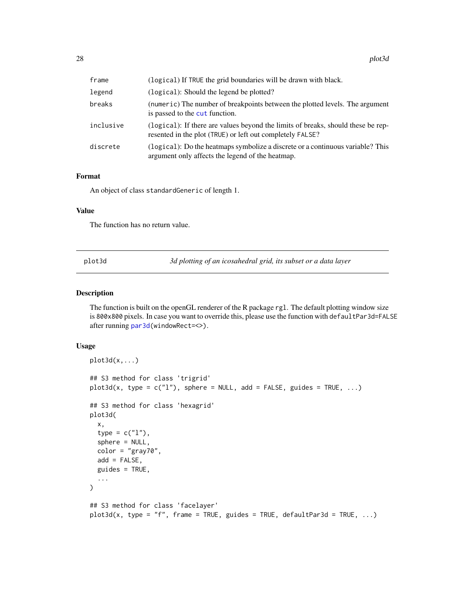<span id="page-27-0"></span>

| frame     | (logical) If TRUE the grid boundaries will be drawn with black.                                                                               |
|-----------|-----------------------------------------------------------------------------------------------------------------------------------------------|
| legend    | (logical): Should the legend be plotted?                                                                                                      |
| breaks    | (numeric) The number of breakpoints between the plotted levels. The argument<br>is passed to the cut function.                                |
| inclusive | (logical): If there are values beyond the limits of breaks, should these be rep-<br>resented in the plot (TRUE) or left out completely FALSE? |
| discrete  | (logical): Do the heatmaps symbolize a discrete or a continuous variable? This<br>argument only affects the legend of the heatmap.            |

#### Format

An object of class standardGeneric of length 1.

#### Value

The function has no return value.

<span id="page-27-1"></span>plot3d *3d plotting of an icosahedral grid, its subset or a data layer*

## Description

The function is built on the openGL renderer of the R package rgl. The default plotting window size is 800x800 pixels. In case you want to override this, please use the function with defaultPar3d=FALSE after running [par3d\(](#page-0-0)windowRect=<>).

#### Usage

```
plot3d(x,...)## S3 method for class 'trigrid'
plot3d(x, type = c("l"), sphere = NULL, add = FALSE, guides = TRUE, ...)## S3 method for class 'hexagrid'
plot3d(
 x,
  type = c("l"),
  sphere = NULL,
 color = "gray70",add = FALSE,
  guides = TRUE,
  ...
)
## S3 method for class 'facelayer'
plot3d(x, type = "f", frame = TRUE, guides = TRUE, define1D.
```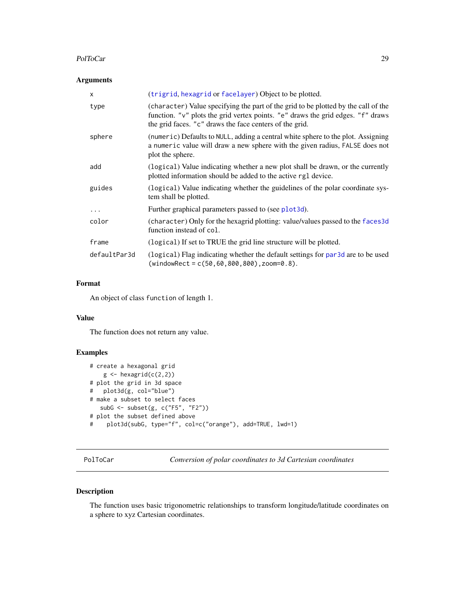#### <span id="page-28-0"></span>PolToCar 29

## Arguments

| $\mathsf{x}$ | (trigrid, hexagrid or facelayer) Object to be plotted.                                                                                                                                                                           |
|--------------|----------------------------------------------------------------------------------------------------------------------------------------------------------------------------------------------------------------------------------|
| type         | (character) Value specifying the part of the grid to be plotted by the call of the<br>function. "v" plots the grid vertex points. "e" draws the grid edges. "f" draws<br>the grid faces. "c" draws the face centers of the grid. |
| sphere       | (numeric) Defaults to NULL, adding a central white sphere to the plot. Assigning<br>a numeric value will draw a new sphere with the given radius, FALSE does not<br>plot the sphere.                                             |
| add          | (logical) Value indicating whether a new plot shall be drawn, or the currently<br>plotted information should be added to the active rgl device.                                                                                  |
| guides       | (logical) Value indicating whether the guidelines of the polar coordinate sys-<br>tem shall be plotted.                                                                                                                          |
| $\cdots$     | Further graphical parameters passed to (see plot3d).                                                                                                                                                                             |
| color        | (character) Only for the hexagrid plotting: value/values passed to the faces3d<br>function instead of col.                                                                                                                       |
| frame        | (logical) If set to TRUE the grid line structure will be plotted.                                                                                                                                                                |
| defaultPar3d | (logical) Flag indicating whether the default settings for par3d are to be used<br>$(windowRect = c(50, 60, 800, 800)$ , zoom=0.8).                                                                                              |

## Format

An object of class function of length 1.

## Value

The function does not return any value.

#### Examples

```
# create a hexagonal grid
   g \leftarrow hexagrid(c(2,2))
# plot the grid in 3d space
# plot3d(g, col="blue")
# make a subset to select faces
  subG <- subset(g, c("F5", "F2"))
# plot the subset defined above
# plot3d(subG, type="f", col=c("orange"), add=TRUE, lwd=1)
```
PolToCar *Conversion of polar coordinates to 3d Cartesian coordinates*

## Description

The function uses basic trigonometric relationships to transform longitude/latitude coordinates on a sphere to xyz Cartesian coordinates.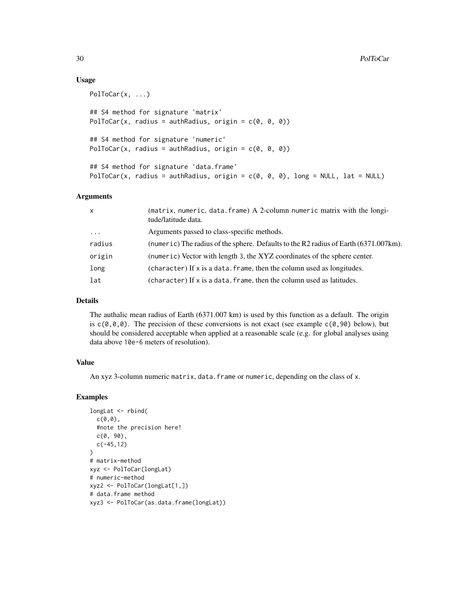#### Usage

```
PolToCar(x, ...)
## S4 method for signature 'matrix'
PolToCar(x, radius = authRadius, origin = c(0, 0, 0))
## S4 method for signature 'numeric'
PolToCar(x, radius = authRadius, origin = c(\theta, \theta, \theta))
## S4 method for signature 'data.frame'
PolToCar(x, radius = authRadius, origin = c(\emptyset, \emptyset, \emptyset), long = NULL, lat = NULL)
```
#### Arguments

| $\times$ | (matrix, numeric, data.frame) A 2-column numeric matrix with the longi-<br>tude/latitude data. |
|----------|------------------------------------------------------------------------------------------------|
| $\cdots$ | Arguments passed to class-specific methods.                                                    |
| radius   | (numeric) The radius of the sphere. Defaults to the R2 radius of Earth (6371.007km).           |
| origin   | (numeric) Vector with length 3, the XYZ coordinates of the sphere center.                      |
| long     | (character) If x is a data. frame, then the column used as longitudes.                         |
| lat      | (character) If x is a data. frame, then the column used as latitudes.                          |

#### Details

The authalic mean radius of Earth (6371.007 km) is used by this function as a default. The origin is  $c(\emptyset, \emptyset, \emptyset)$ . The precision of these conversions is not exact (see example  $c(\emptyset, 90)$  below), but should be considered acceptable when applied at a reasonable scale (e.g. for global analyses using data above 10e-6 meters of resolution).

#### Value

An xyz 3-column numeric matrix, data.frame or numeric, depending on the class of x.

#### Examples

```
longLat <- rbind(
  c(\theta,\theta),
  #note the precision here!
  c(0, 90),
  c(-45,12)
)
# matrix-method
xyz <- PolToCar(longLat)
# numeric-method
xyz2 <- PolToCar(longLat[1,])
# data.frame method
xyz3 <- PolToCar(as.data.frame(longLat))
```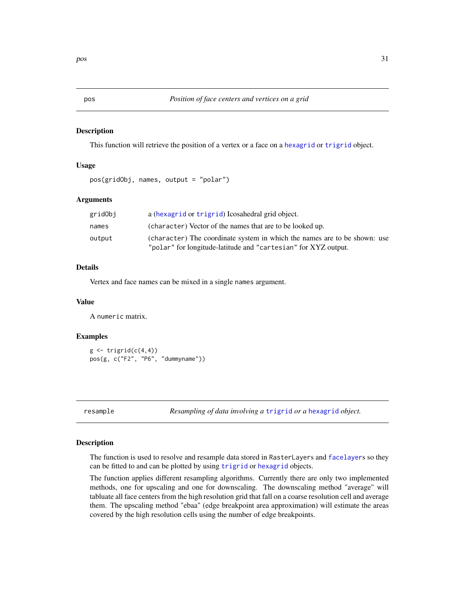This function will retrieve the position of a vertex or a face on a [hexagrid](#page-17-1) or [trigrid](#page-40-1) object.

#### Usage

```
pos(gridObj, names, output = "polar")
```
## Arguments

| gridObj | a (hexagrid or trigrid) I cosahedral grid object.                                                                                           |
|---------|---------------------------------------------------------------------------------------------------------------------------------------------|
| names   | (character) Vector of the names that are to be looked up.                                                                                   |
| output  | (character) The coordinate system in which the names are to be shown: use<br>"polar" for longitude-latitude and "cartesian" for XYZ output. |

## Details

Vertex and face names can be mixed in a single names argument.

#### Value

A numeric matrix.

#### Examples

 $g \leftarrow \text{triprid}(c(4,4))$ pos(g, c("F2", "P6", "dummyname"))

<span id="page-30-1"></span>

resample *Resampling of data involving a* [trigrid](#page-40-1) *or a* [hexagrid](#page-17-1) *object.*

## Description

The function is used to resolve and resample data stored in RasterLayers and [facelayer](#page-10-1)s so they can be fitted to and can be plotted by using [trigrid](#page-40-1) or [hexagrid](#page-17-1) objects.

The function applies different resampling algorithms. Currently there are only two implemented methods, one for upscaling and one for downscaling. The downscaling method "average" will tabluate all face centers from the high resolution grid that fall on a coarse resolution cell and average them. The upscaling method "ebaa" (edge breakpoint area approximation) will estimate the areas covered by the high resolution cells using the number of edge breakpoints.

<span id="page-30-0"></span>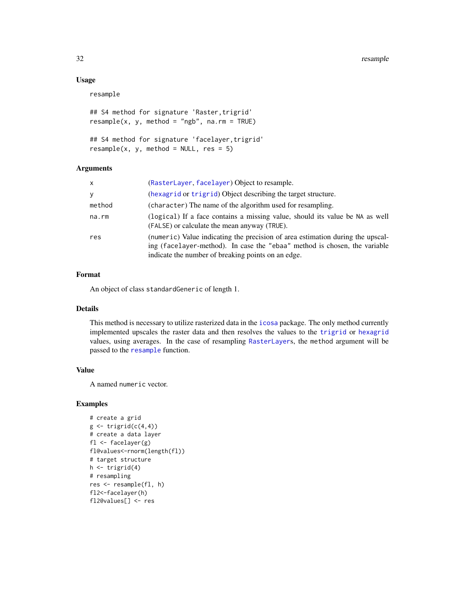## Usage

resample

```
## S4 method for signature 'Raster, trigrid'
resample(x, y, method = "ngb", na.rm = TRUE)
```

```
## S4 method for signature 'facelayer,trigrid'
resample(x, y, method = NULL, res = 5)
```
#### Arguments

| $\mathsf{x}$ | (RasterLayer, facelayer) Object to resample.                                                                                                                                                                      |
|--------------|-------------------------------------------------------------------------------------------------------------------------------------------------------------------------------------------------------------------|
| У            | (hexagrid or trigrid) Object describing the target structure.                                                                                                                                                     |
| method       | (character) The name of the algorithm used for resampling.                                                                                                                                                        |
| na.rm        | (logical) If a face contains a missing value, should its value be NA as well<br>(FALSE) or calculate the mean anyway (TRUE).                                                                                      |
| res          | (numeric) Value indicating the precision of area estimation during the upscal-<br>ing (facelayer-method). In case the "ebaa" method is chosen, the variable<br>indicate the number of breaking points on an edge. |

#### Format

An object of class standardGeneric of length 1.

#### Details

This method is necessary to utilize rasterized data in the [icosa](#page-18-1) package. The only method currently implemented upscales the raster data and then resolves the values to the [trigrid](#page-40-1) or [hexagrid](#page-17-1) values, using averages. In the case of resampling [RasterLayer](#page-0-0)s, the method argument will be passed to the [resample](#page-30-1) function.

#### Value

A named numeric vector.

## Examples

```
# create a grid
g \leftarrow \text{triprid}(c(4,4))# create a data layer
fl <- facelayer(g)
fl@values<-rnorm(length(fl))
# target structure
h \leftarrow \text{trigrid}(4)# resampling
res <- resample(fl, h)
fl2<-facelayer(h)
fl2@values[] <- res
```
<span id="page-31-0"></span>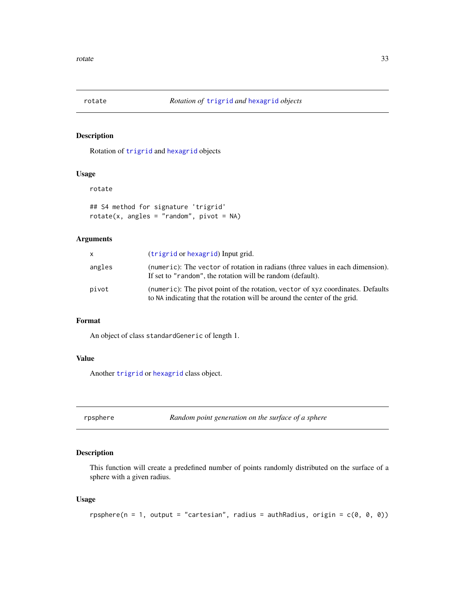<span id="page-32-1"></span><span id="page-32-0"></span>

Rotation of [trigrid](#page-40-1) and [hexagrid](#page-17-1) objects

#### Usage

rotate

```
## S4 method for signature 'trigrid'
rotate(x, angles = "random", pivot = NA)
```
## Arguments

| $\times$ | (trigrid or hexagrid) Input grid.                                                                                                                            |
|----------|--------------------------------------------------------------------------------------------------------------------------------------------------------------|
| angles   | (numeric): The vector of rotation in radians (three values in each dimension).<br>If set to "random", the rotation will be random (default).                 |
| pivot    | (numeric): The pivot point of the rotation, vector of xyz coordinates. Defaults<br>to NA indicating that the rotation will be around the center of the grid. |

#### Format

An object of class standardGeneric of length 1.

## Value

Another [trigrid](#page-40-1) or [hexagrid](#page-17-1) class object.

rpsphere *Random point generation on the surface of a sphere*

#### Description

This function will create a predefined number of points randomly distributed on the surface of a sphere with a given radius.

#### Usage

```
rpsphere(n = 1, output = "cartesian", radius = authRadius, origin = c(0, 0, 0))
```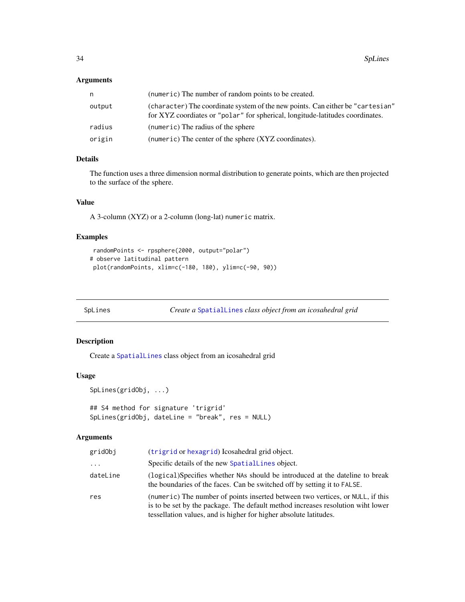## <span id="page-33-0"></span>Arguments

| n      | (numeric) The number of random points to be created.                                                                                                            |
|--------|-----------------------------------------------------------------------------------------------------------------------------------------------------------------|
| output | (character) The coordinate system of the new points. Can either be "cartesian"<br>for XYZ coordiates or "polar" for spherical, longitude-latitudes coordinates. |
| radius | (numeric) The radius of the sphere                                                                                                                              |
| origin | (numeric) The center of the sphere (XYZ coordinates).                                                                                                           |

## Details

The function uses a three dimension normal distribution to generate points, which are then projected to the surface of the sphere.

#### Value

A 3-column (XYZ) or a 2-column (long-lat) numeric matrix.

#### Examples

```
randomPoints <- rpsphere(2000, output="polar")
# observe latitudinal pattern
plot(randomPoints, xlim=c(-180, 180), ylim=c(-90, 90))
```

```
SpLines Create a SpatialLines class object from an icosahedral grid
```
## Description

Create a [SpatialLines](#page-0-0) class object from an icosahedral grid

## Usage

```
SpLines(gridObj, ...)
## S4 method for signature 'trigrid'
SpLines(gridObj, dateLine = "break", res = NULL)
```

| gridObj  | (trigrid or hexagrid) I cosahedral grid object.                                                                                                                                                                                        |
|----------|----------------------------------------------------------------------------------------------------------------------------------------------------------------------------------------------------------------------------------------|
| $\cdots$ | Specific details of the new SpatialLines object.                                                                                                                                                                                       |
| dateLine | (logical)Specifies whether NAs should be introduced at the dateline to break<br>the boundaries of the faces. Can be switched off by setting it to FALSE.                                                                               |
| res      | (numeric) The number of points inserted between two vertices, or NULL, if this<br>is to be set by the package. The default method increases resolution wiht lower<br>tessellation values, and is higher for higher absolute latitudes. |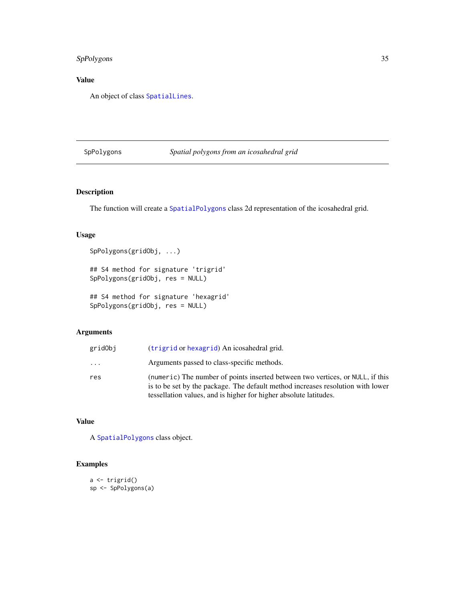## <span id="page-34-0"></span>SpPolygons 35

## Value

An object of class [SpatialLines](#page-0-0).

## <span id="page-34-1"></span>SpPolygons *Spatial polygons from an icosahedral grid*

## Description

The function will create a [SpatialPolygons](#page-0-0) class 2d representation of the icosahedral grid.

## Usage

```
SpPolygons(gridObj, ...)
## S4 method for signature 'trigrid'
SpPolygons(gridObj, res = NULL)
```
## S4 method for signature 'hexagrid' SpPolygons(gridObj, res = NULL)

## Arguments

| gridObj                 | (trigrid or hexagrid) An icosahedral grid.                                                                                                                                                                                             |
|-------------------------|----------------------------------------------------------------------------------------------------------------------------------------------------------------------------------------------------------------------------------------|
| $\cdot$ $\cdot$ $\cdot$ | Arguments passed to class-specific methods.                                                                                                                                                                                            |
| res                     | (numeric) The number of points inserted between two vertices, or NULL, if this<br>is to be set by the package. The default method increases resolution with lower<br>tessellation values, and is higher for higher absolute latitudes. |

## Value

A [SpatialPolygons](#page-0-0) class object.

## Examples

```
a <- trigrid()
sp <- SpPolygons(a)
```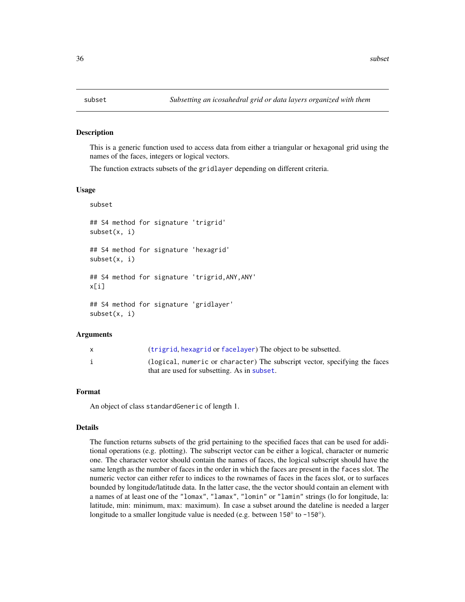<span id="page-35-1"></span><span id="page-35-0"></span>

This is a generic function used to access data from either a triangular or hexagonal grid using the names of the faces, integers or logical vectors.

The function extracts subsets of the gridlayer depending on different criteria.

#### Usage

subset

## S4 method for signature 'trigrid' subset(x, i) ## S4 method for signature 'hexagrid' subset(x, i) ## S4 method for signature 'trigrid,ANY,ANY' x[i] ## S4 method for signature 'gridlayer' subset(x, i)

#### Arguments

| (trigrid, hexagrid or facelayer) The object to be subsetted.               |
|----------------------------------------------------------------------------|
| (logical, numeric or character) The subscript vector, specifying the faces |
| that are used for subsetting. As in subset.                                |

#### Format

An object of class standardGeneric of length 1.

#### Details

The function returns subsets of the grid pertaining to the specified faces that can be used for additional operations (e.g. plotting). The subscript vector can be either a logical, character or numeric one. The character vector should contain the names of faces, the logical subscript should have the same length as the number of faces in the order in which the faces are present in the faces slot. The numeric vector can either refer to indices to the rownames of faces in the faces slot, or to surfaces bounded by longitude/latitude data. In the latter case, the the vector should contain an element with a names of at least one of the "lomax", "lamax", "lomin" or "lamin" strings (lo for longitude, la: latitude, min: minimum, max: maximum). In case a subset around the dateline is needed a larger longitude to a smaller longitude value is needed (e.g. between 150° to -150°).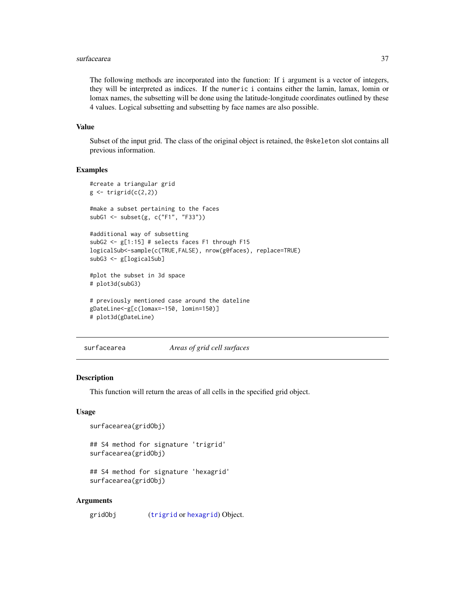#### <span id="page-36-0"></span>surfacearea  $37$

The following methods are incorporated into the function: If i argument is a vector of integers, they will be interpreted as indices. If the numeric i contains either the lamin, lamax, lomin or lomax names, the subsetting will be done using the latitude-longitude coordinates outlined by these 4 values. Logical subsetting and subsetting by face names are also possible.

#### Value

Subset of the input grid. The class of the original object is retained, the @skeleton slot contains all previous information.

#### Examples

```
#create a triangular grid
g \leftarrow \text{triprid}(c(2,2))#make a subset pertaining to the faces
subG1 <- subset(g, c("F1", "F33"))
#additional way of subsetting
subG2 <- g[1:15] # selects faces F1 through F15
logicalSub<-sample(c(TRUE,FALSE), nrow(g@faces), replace=TRUE)
subG3 <- g[logicalSub]
#plot the subset in 3d space
# plot3d(subG3)
# previously mentioned case around the dateline
gDateLine<-g[c(lomax=-150, lomin=150)]
# plot3d(gDateLine)
```
surfacearea *Areas of grid cell surfaces*

#### Description

This function will return the areas of all cells in the specified grid object.

#### Usage

```
surfacearea(gridObj)
```

```
## S4 method for signature 'trigrid'
surfacearea(gridObj)
```

```
## S4 method for signature 'hexagrid'
surfacearea(gridObj)
```
#### Arguments

gridObj ([trigrid](#page-40-1) or [hexagrid](#page-17-1)) Object.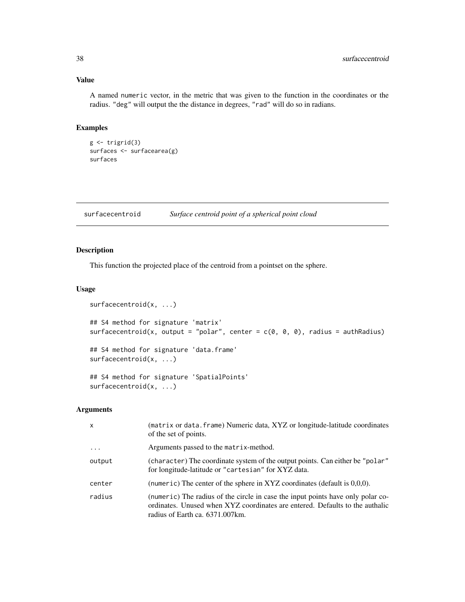#### <span id="page-37-0"></span>Value

A named numeric vector, in the metric that was given to the function in the coordinates or the radius. "deg" will output the the distance in degrees, "rad" will do so in radians.

#### Examples

```
g \leftarrow \text{trigrid}(3)surfaces <- surfacearea(g)
surfaces
```
<span id="page-37-1"></span>surfacecentroid *Surface centroid point of a spherical point cloud*

## Description

This function the projected place of the centroid from a pointset on the sphere.

#### Usage

```
surfacecentroid(x, ...)
## S4 method for signature 'matrix'
surfacecentroid(x, output = "polar", center = c(0, 0, 0), radius = authRadius)
## S4 method for signature 'data.frame'
surfacecentroid(x, ...)
## S4 method for signature 'SpatialPoints'
surfacecentroid(x, ...)
```

| X        | (matrix or data. frame) Numeric data, XYZ or longitude-latitude coordinates<br>of the set of points.                                                                                               |
|----------|----------------------------------------------------------------------------------------------------------------------------------------------------------------------------------------------------|
| $\cdots$ | Arguments passed to the matrix-method.                                                                                                                                                             |
| output   | (character) The coordinate system of the output points. Can either be "polar"<br>for longitude-latitude or "cartesian" for XYZ data.                                                               |
| center   | (numeric) The center of the sphere in XYZ coordinates (default is $0,0,0$ ).                                                                                                                       |
| radius   | (numeric) The radius of the circle in case the input points have only polar co-<br>ordinates. Unused when XYZ coordinates are entered. Defaults to the authalic<br>radius of Earth ca. 6371.007km. |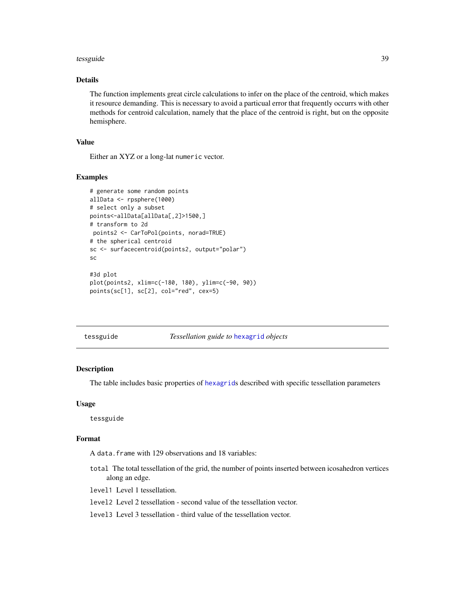#### <span id="page-38-0"></span>tessguide 39

## Details

The function implements great circle calculations to infer on the place of the centroid, which makes it resource demanding. This is necessary to avoid a particual error that frequently occurrs with other methods for centroid calculation, namely that the place of the centroid is right, but on the opposite hemisphere.

#### Value

Either an XYZ or a long-lat numeric vector.

#### Examples

```
# generate some random points
allData <- rpsphere(1000)
# select only a subset
points<-allData[allData[,2]>1500,]
# transform to 2d
points2 <- CarToPol(points, norad=TRUE)
# the spherical centroid
sc <- surfacecentroid(points2, output="polar")
sc
#3d plot
plot(points2, xlim=c(-180, 180), ylim=c(-90, 90))
points(sc[1], sc[2], col="red", cex=5)
```
tessguide *Tessellation guide to* [hexagrid](#page-17-1) *objects*

#### **Description**

The table includes basic properties of [hexagrid](#page-17-1)s described with specific tessellation parameters

#### Usage

tessguide

## Format

A data.frame with 129 observations and 18 variables:

total The total tessellation of the grid, the number of points inserted between icosahedron vertices along an edge.

level1 Level 1 tessellation.

level2 Level 2 tessellation - second value of the tessellation vector.

level3 Level 3 tessellation - third value of the tessellation vector.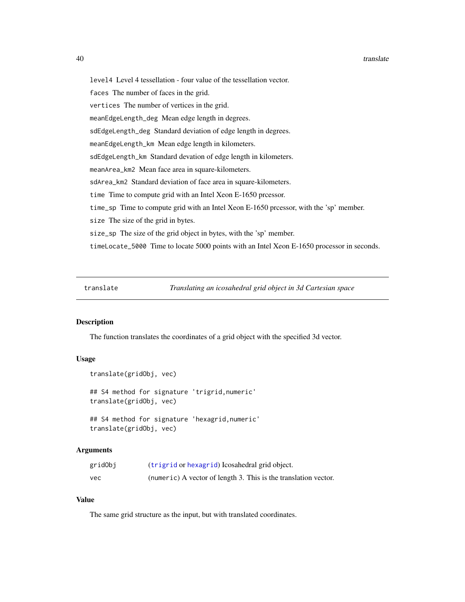<span id="page-39-0"></span>level4 Level 4 tessellation - four value of the tessellation vector. faces The number of faces in the grid. vertices The number of vertices in the grid. meanEdgeLength\_deg Mean edge length in degrees. sdEdgeLength\_deg Standard deviation of edge length in degrees. meanEdgeLength\_km Mean edge length in kilometers. sdEdgeLength\_km Standard devation of edge length in kilometers. meanArea\_km2 Mean face area in square-kilometers. sdArea\_km2 Standard deviation of face area in square-kilometers. time Time to compute grid with an Intel Xeon E-1650 prcessor. time\_sp Time to compute grid with an Intel Xeon E-1650 prcessor, with the 'sp' member. size The size of the grid in bytes. size\_sp The size of the grid object in bytes, with the 'sp' member. timeLocate\_5000 Time to locate 5000 points with an Intel Xeon E-1650 processor in seconds.

translate *Translating an icosahedral grid object in 3d Cartesian space*

## Description

The function translates the coordinates of a grid object with the specified 3d vector.

#### Usage

```
translate(gridObj, vec)
## S4 method for signature 'trigrid,numeric'
translate(gridObj, vec)
## S4 method for signature 'hexagrid,numeric'
translate(gridObj, vec)
```
#### Arguments

| gridObj | (trigrid or hexagrid) I cosahedral grid object.                 |
|---------|-----------------------------------------------------------------|
| vec     | (numeric) A vector of length 3. This is the translation vector. |

#### Value

The same grid structure as the input, but with translated coordinates.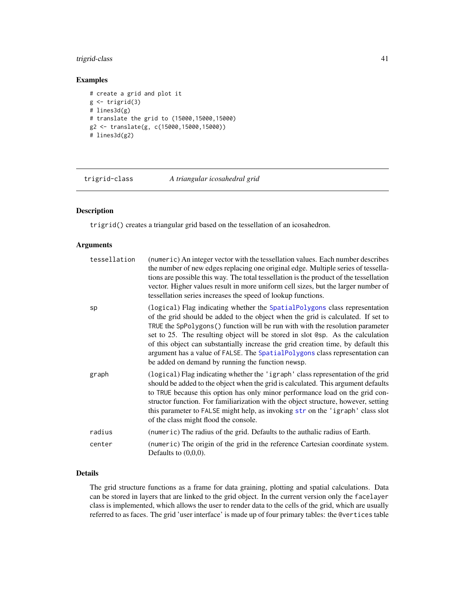## <span id="page-40-0"></span>trigrid-class 41

## Examples

```
# create a grid and plot it
g \leftarrow \text{trigrid}(3)# lines3d(g)
# translate the grid to (15000,15000,15000)
g2 <- translate(g, c(15000,15000,15000))
# lines3d(g2)
```
trigrid-class *A triangular icosahedral grid*

## <span id="page-40-1"></span>Description

trigrid() creates a triangular grid based on the tessellation of an icosahedron.

#### Arguments

| tessellation | (numeric) An integer vector with the tessellation values. Each number describes<br>the number of new edges replacing one original edge. Multiple series of tessella-<br>tions are possible this way. The total tessellation is the product of the tessellation<br>vector. Higher values result in more uniform cell sizes, but the larger number of<br>tessellation series increases the speed of lookup functions.                                                                                                                                         |
|--------------|-------------------------------------------------------------------------------------------------------------------------------------------------------------------------------------------------------------------------------------------------------------------------------------------------------------------------------------------------------------------------------------------------------------------------------------------------------------------------------------------------------------------------------------------------------------|
| sp           | (logical) Flag indicating whether the SpatialPolygons class representation<br>of the grid should be added to the object when the grid is calculated. If set to<br>TRUE the SpPolygons () function will be run with with the resolution parameter<br>set to 25. The resulting object will be stored in slot @sp. As the calculation<br>of this object can substantially increase the grid creation time, by default this<br>argument has a value of FALSE. The SpatialPolygons class representation can<br>be added on demand by running the function newsp. |
| graph        | (logical) Flag indicating whether the 'igraph' class representation of the grid<br>should be added to the object when the grid is calculated. This argument defaults<br>to TRUE because this option has only minor performance load on the grid con-<br>structor function. For familiarization with the object structure, however, setting<br>this parameter to FALSE might help, as invoking str on the 'igraph' class slot<br>of the class might flood the console.                                                                                       |
| radius       | (numeric) The radius of the grid. Defaults to the authalic radius of Earth.                                                                                                                                                                                                                                                                                                                                                                                                                                                                                 |
| center       | (numeric) The origin of the grid in the reference Cartesian coordinate system.<br>Defaults to $(0,0,0)$ .                                                                                                                                                                                                                                                                                                                                                                                                                                                   |

## Details

The grid structure functions as a frame for data graining, plotting and spatial calculations. Data can be stored in layers that are linked to the grid object. In the current version only the facelayer class is implemented, which allows the user to render data to the cells of the grid, which are usually referred to as faces. The grid 'user interface' is made up of four primary tables: the @vertices table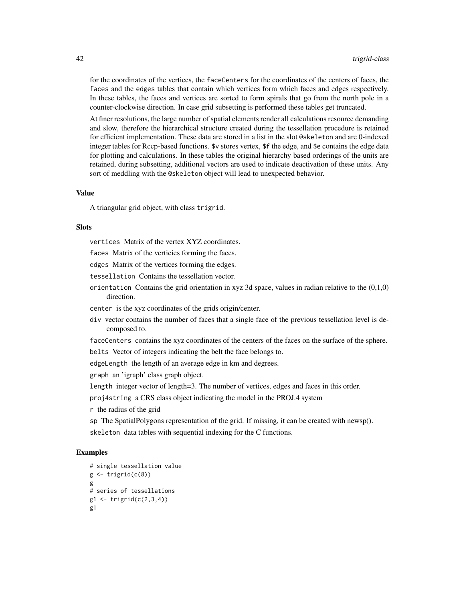for the coordinates of the vertices, the faceCenters for the coordinates of the centers of faces, the faces and the edges tables that contain which vertices form which faces and edges respectively. In these tables, the faces and vertices are sorted to form spirals that go from the north pole in a counter-clockwise direction. In case grid subsetting is performed these tables get truncated.

At finer resolutions, the large number of spatial elements render all calculations resource demanding and slow, therefore the hierarchical structure created during the tessellation procedure is retained for efficient implementation. These data are stored in a list in the slot @skeleton and are 0-indexed integer tables for Rccp-based functions. \$v stores vertex, \$f the edge, and \$e contains the edge data for plotting and calculations. In these tables the original hierarchy based orderings of the units are retained, during subsetting, additional vectors are used to indicate deactivation of these units. Any sort of meddling with the @skeleton object will lead to unexpected behavior.

### Value

A triangular grid object, with class trigrid.

#### **Slots**

vertices Matrix of the vertex XYZ coordinates.

faces Matrix of the verticies forming the faces.

edges Matrix of the vertices forming the edges.

tessellation Contains the tessellation vector.

orientation Contains the grid orientation in xyz 3d space, values in radian relative to the  $(0,1,0)$ direction.

center is the xyz coordinates of the grids origin/center.

div vector contains the number of faces that a single face of the previous tessellation level is decomposed to.

faceCenters contains the xyz coordinates of the centers of the faces on the surface of the sphere.

belts Vector of integers indicating the belt the face belongs to.

edgeLength the length of an average edge in km and degrees.

graph an 'igraph' class graph object.

length integer vector of length=3. The number of vertices, edges and faces in this order.

proj4string a CRS class object indicating the model in the PROJ.4 system

r the radius of the grid

sp The SpatialPolygons representation of the grid. If missing, it can be created with newsp(). skeleton data tables with sequential indexing for the C functions.

#### Examples

```
# single tessellation value
g \leftarrow \text{trigrid}(c(8))g
# series of tessellations
g1 \leftarrow \text{trigrid}(c(2,3,4))g1
```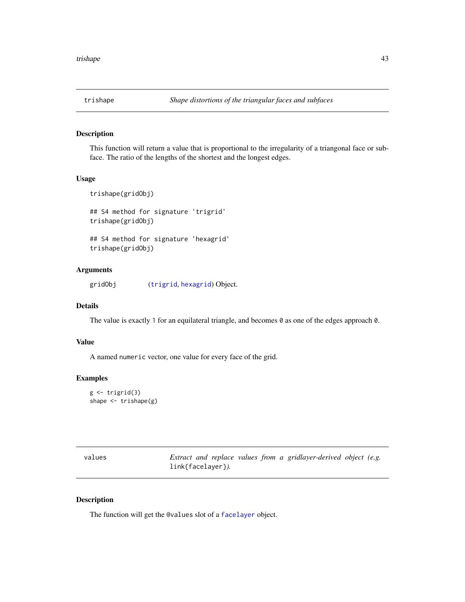<span id="page-42-0"></span>

This function will return a value that is proportional to the irregularity of a triangonal face or subface. The ratio of the lengths of the shortest and the longest edges.

#### Usage

trishape(gridObj) ## S4 method for signature 'trigrid' trishape(gridObj) ## S4 method for signature 'hexagrid' trishape(gridObj)

## Arguments

gridObj ([trigrid](#page-40-1), [hexagrid](#page-17-1)) Object.

## Details

The value is exactly 1 for an equilateral triangle, and becomes 0 as one of the edges approach 0.

#### Value

A named numeric vector, one value for every face of the grid.

#### Examples

```
g \leftarrow \text{trigrid}(3)shape <- trishape(g)
```

| values |                   |  |  | Extract and replace values from a gridlayer-derived object (e.g. |  |
|--------|-------------------|--|--|------------------------------------------------------------------|--|
|        | link{facelayer}). |  |  |                                                                  |  |

#### Description

The function will get the @values slot of a [facelayer](#page-10-1) object.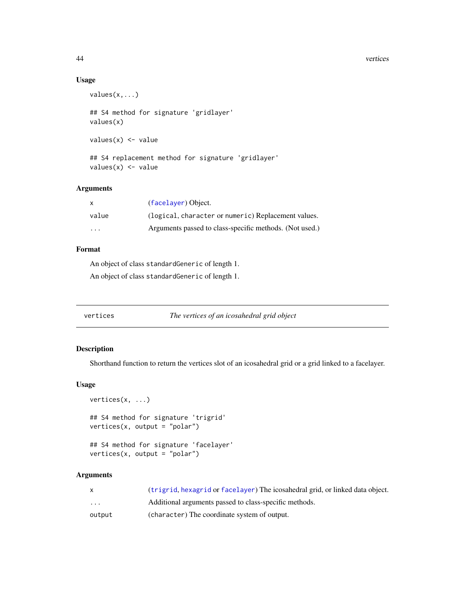#### 44 vertices

## Usage

```
values(x,...)
## S4 method for signature 'gridlayer'
values(x)
values(x) <- value
## S4 replacement method for signature 'gridlayer'
```
## values(x) <- value

## Arguments

| x       | (facelayer) Object.                                     |
|---------|---------------------------------------------------------|
| value   | (logical, character or numeric) Replacement values.     |
| $\cdot$ | Arguments passed to class-specific methods. (Not used.) |

## Format

An object of class standardGeneric of length 1. An object of class standardGeneric of length 1.

vertices *The vertices of an icosahedral grid object*

#### Description

Shorthand function to return the vertices slot of an icosahedral grid or a grid linked to a facelayer.

#### Usage

```
vertices(x, ...)
## S4 method for signature 'trigrid'
vertices(x, output = "polar")
## S4 method for signature 'facelayer'
```

```
vertices(x, output = "polar")
```

|                         | (trigrid, hexagrid or facelayer) The icosahedral grid, or linked data object. |
|-------------------------|-------------------------------------------------------------------------------|
| $\cdot$ $\cdot$ $\cdot$ | Additional arguments passed to class-specific methods.                        |
| output                  | (character) The coordinate system of output.                                  |

<span id="page-43-0"></span>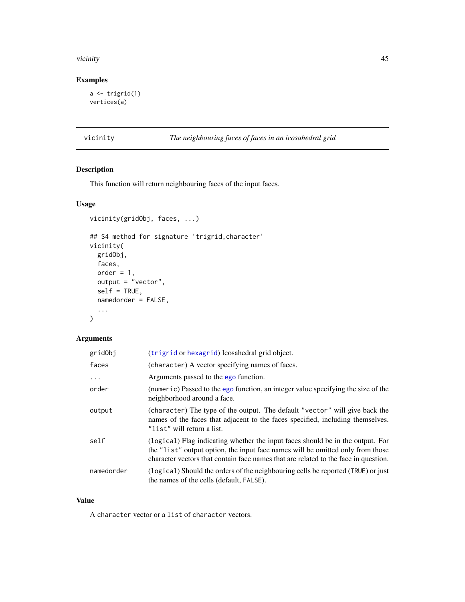#### <span id="page-44-0"></span>vicinity and the contract of the contract of the contract of the contract of the contract of the contract of the contract of the contract of the contract of the contract of the contract of the contract of the contract of t

## Examples

```
a \leftarrow \text{trigrid}(1)vertices(a)
```
vicinity *The neighbouring faces of faces in an icosahedral grid*

## Description

This function will return neighbouring faces of the input faces.

## Usage

```
vicinity(gridObj, faces, ...)
## S4 method for signature 'trigrid,character'
vicinity(
 gridObj,
 faces,
 order = 1,
 output = "vector",
 self = TRUE,namedorder = FALSE,
  ...
)
```
## Arguments

| gridObj    | (trigrid or hexagrid) I cosahedral grid object.                                                                                                                                                                                                         |
|------------|---------------------------------------------------------------------------------------------------------------------------------------------------------------------------------------------------------------------------------------------------------|
| faces      | (character) A vector specifying names of faces.                                                                                                                                                                                                         |
| $\ddots$   | Arguments passed to the ego function.                                                                                                                                                                                                                   |
| order      | (numeric) Passed to the ego function, an integer value specifying the size of the<br>neighborhood around a face.                                                                                                                                        |
| output     | (character) The type of the output. The default "vector" will give back the<br>names of the faces that adjacent to the faces specified, including themselves.<br>"list" will return a list.                                                             |
| self       | (logical) Flag indicating whether the input faces should be in the output. For<br>the "list" output option, the input face names will be omitted only from those<br>character vectors that contain face names that are related to the face in question. |
| namedorder | (logical) Should the orders of the neighbouring cells be reported (TRUE) or just<br>the names of the cells (default, FALSE).                                                                                                                            |

## Value

A character vector or a list of character vectors.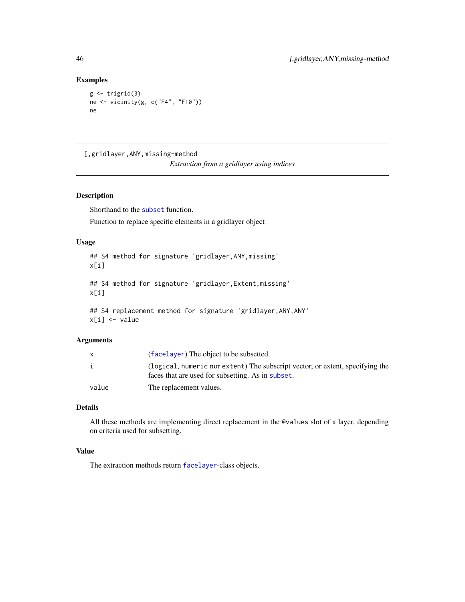## Examples

```
g \leftarrow \text{trigrid}(3)ne <- vicinity(g, c("F4", "F10"))
ne
```
[,gridlayer,ANY,missing-method

*Extraction from a gridlayer using indices*

## Description

Shorthand to the [subset](#page-35-1) function.

Function to replace specific elements in a gridlayer object

## Usage

```
## S4 method for signature 'gridlayer,ANY,missing'
x[i]
## S4 method for signature 'gridlayer,Extent,missing'
x[i]
## S4 replacement method for signature 'gridlayer, ANY, ANY'
x[i] <- value
```
## Arguments

|       | (facelayer) The object to be subsetted.                                                                                            |
|-------|------------------------------------------------------------------------------------------------------------------------------------|
|       | (logical, numeric nor extent) The subscript vector, or extent, specifying the<br>faces that are used for subsetting. As in subset. |
| value | The replacement values.                                                                                                            |

## Details

All these methods are implementing direct replacement in the @values slot of a layer, depending on criteria used for subsetting.

## Value

The extraction methods return [facelayer](#page-10-1)-class objects.

<span id="page-45-0"></span>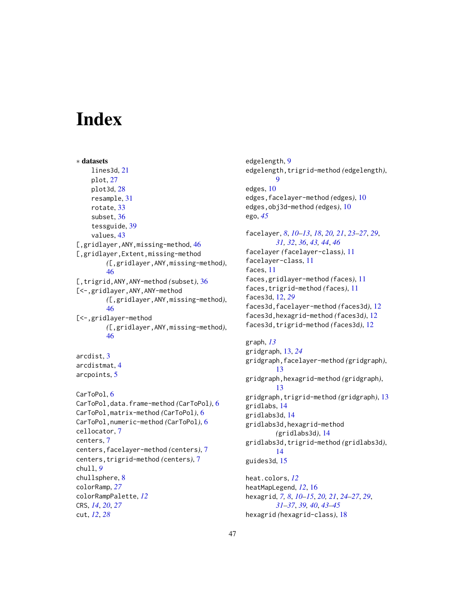# <span id="page-46-0"></span>**Index**

```
∗ datasets
    lines3d, 21
    plot, 27
    plot3d, 28
    resample, 31
    rotate, 33
    subset, 36
    tessguide, 39
    values, 43
46
[,gridlayer,Extent,missing-method
        ([,gridlayer,ANY,missing-method),
        46
[,trigrid,ANY,ANY-method (subset), 36
[<-,gridlayer,ANY,ANY-method
        ([,gridlayer,ANY,missing-method),
        46
[<-,gridlayer-method
        ([,gridlayer,ANY,missing-method),
        46
arcdist, 3
arcdistmat, 4
arcpoints, 5
CarToPol, 6
CarToPol,data.frame-method (CarToPol), 6
CarToPol,matrix-method (CarToPol), 6
CarToPol,numeric-method (CarToPol), 6
cellocator, 7
centers, 7
centers,facelayer-method (centers), 7
centers,trigrid-method (centers), 7
chull, 9
chullsphere, 8
colorRamp, 27
colorRampPalette, 12
CRS, 14, 20, 27
cut, 12, 28
```
edgelength, [9](#page-8-0) edgelength,trigrid-method *(*edgelength*)*, [9](#page-8-0) edges, [10](#page-9-0) edges,facelayer-method *(*edges*)*, [10](#page-9-0) edges,obj3d-method *(*edges*)*, [10](#page-9-0) ego, *[45](#page-44-0)* facelayer, *[8](#page-7-0)*, *[10](#page-9-0)[–13](#page-12-0)*, *[18](#page-17-0)*, *[20,](#page-19-0) [21](#page-20-0)*, *[23](#page-22-0)[–27](#page-26-0)*, *[29](#page-28-0)*,

*[31,](#page-30-0) [32](#page-31-0)*, *[36](#page-35-0)*, *[43,](#page-42-0) [44](#page-43-0)*, *[46](#page-45-0)* facelayer *(*facelayer-class*)*, [11](#page-10-0) facelayer-class, [11](#page-10-0) faces, [11](#page-10-0) faces,gridlayer-method *(*faces*)*, [11](#page-10-0) faces,trigrid-method *(*faces*)*, [11](#page-10-0) faces3d, [12,](#page-11-0) *[29](#page-28-0)* faces3d,facelayer-method *(*faces3d*)*, [12](#page-11-0) faces3d,hexagrid-method *(*faces3d*)*, [12](#page-11-0) faces3d,trigrid-method *(*faces3d*)*, [12](#page-11-0)

```
graph, 13
gridgraph, 13, 24
gridgraph,facelayer-method (gridgraph),
        13
gridgraph,hexagrid-method (gridgraph),
        13
gridgraph,trigrid-method (gridgraph), 13
gridlabs, 14
gridlabs3d, 14
gridlabs3d,hexagrid-method
        (gridlabs3d), 14
gridlabs3d,trigrid-method (gridlabs3d),
        14
guides3d, 15
heat.colors, 12
heatMapLegend, 12, 16
```
hexagrid, *[7,](#page-6-0) [8](#page-7-0)*, *[10](#page-9-0)[–15](#page-14-0)*, *[20,](#page-19-0) [21](#page-20-0)*, *[24](#page-23-0)[–27](#page-26-0)*, *[29](#page-28-0)*, *[31](#page-30-0)[–37](#page-36-0)*, *[39,](#page-38-0) [40](#page-39-0)*, *[43](#page-42-0)[–45](#page-44-0)* hexagrid *(*hexagrid-class*)*, [18](#page-17-0)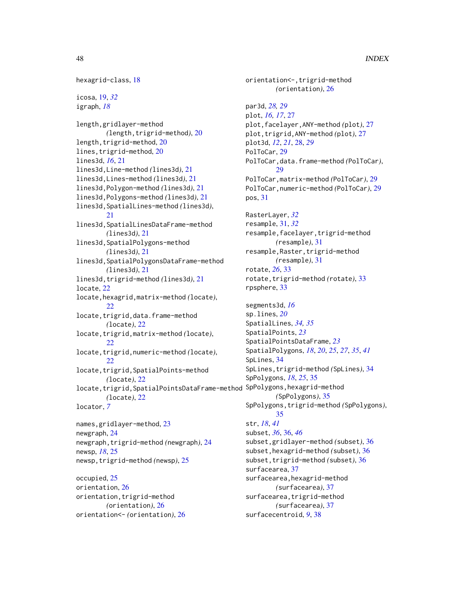```
hexagrid-class, 18
icosa, 19, 32
igraph, 18
length,gridlayer-method
        (length,trigrid-method), 20
20
lines,trigrid-method, 20
lines3d, 16, 21
lines3d,Line-method (lines3d), 21
lines3d,Lines-method (lines3d), 21
lines3d,Polygon-method (lines3d), 21
lines3d,Polygons-method (lines3d), 21
lines3d,SpatialLines-method (lines3d),
        21
lines3d,SpatialLinesDataFrame-method
        (lines3d), 21
lines3d,SpatialPolygons-method
        (lines3d), 21
lines3d,SpatialPolygonsDataFrame-method
        (lines3d), 21
lines3d,trigrid-method (lines3d), 21
locate, 22
locate,hexagrid,matrix-method (locate),
        22
locate, trigrid, data.frame-method
        (locate), 22
locate,trigrid,matrix-method (locate),
        22
locate,trigrid,numeric-method (locate),
        22
locate,trigrid,SpatialPoints-method
        (locate), 22
locate,trigrid,SpatialPointsDataFrame-method
SpPolygons,hexagrid-method
        (locate), 22
locator, 7
names,gridlayer-method, 23
newgraph, 24
newgraph,trigrid-method (newgraph), 24
newsp, 18, 25
newsp,trigrid-method (newsp), 25
occupied, 25
orientation, 26
orientation,trigrid-method
        (orientation), 26
orientation<- (orientation), 26
```

```
orientation<-,trigrid-method
        (orientation), 26
par3d, 28, 29
plot, 16, 17, 27
plot,facelayer,ANY-method (plot), 27
plot,trigrid,ANY-method (plot), 27
plot3d, 12, 21, 28, 29
PolToCar, 29
PolToCar,data.frame-method (PolToCar),
        29
PolToCar,matrix-method (PolToCar), 29
PolToCar,numeric-method (PolToCar), 29
pos, 31
RasterLayer, 32
resample, 31, 32
resample,facelayer,trigrid-method
        (resample), 31
resample,Raster,trigrid-method
        (resample), 31
rotate, 26, 33
rotate, trigrid-method (rotate)33
rpsphere, 33
segments3d, 16
sp.lines, 20
SpatialLines, 34, 35
SpatialPoints, 23
SpatialPointsDataFrame, 23
SpatialPolygons, 18, 20, 25, 27, 35, 41
SpLines, 34
SpLines,trigrid-method (SpLines), 34
SpPolygons, 18, 25, 35
        (SpPolygons), 35
SpPolygons,trigrid-method (SpPolygons),
        35
str, 18, 41
subset, 36, 36, 46
subset,gridlayer-method (subset), 36
subset,hexagrid-method (subset), 36
subset, trigrid-method (subset)36
surfacearea, 37
surfacearea,hexagrid-method
        (surfacearea), 37
surfacearea,trigrid-method
        (surfacearea), 37
surfacecentroid, 9, 38
```